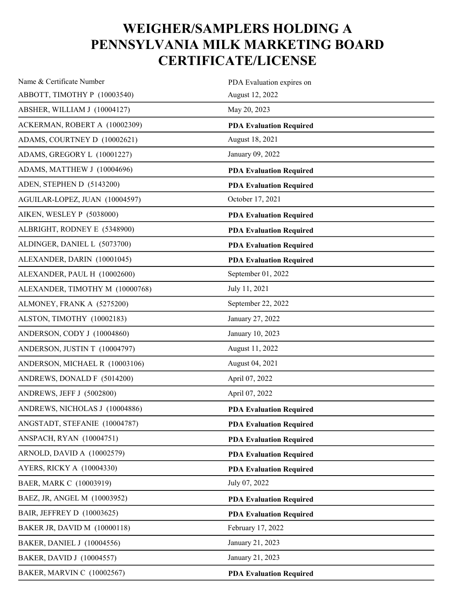## WEIGHER/SAMPLERS HOLDING A PENNSYLVANIA MILK MARKETING BOARD CERTIFICATE/LICENSE

| Name & Certificate Number       | PDA Evaluation expires on      |  |
|---------------------------------|--------------------------------|--|
| ABBOTT, TIMOTHY P (10003540)    | August 12, 2022                |  |
| ABSHER, WILLIAM J (10004127)    | May 20, 2023                   |  |
| ACKERMAN, ROBERT A (10002309)   | <b>PDA Evaluation Required</b> |  |
| ADAMS, COURTNEY D (10002621)    | August 18, 2021                |  |
| ADAMS, GREGORY L (10001227)     | January 09, 2022               |  |
| ADAMS, MATTHEW J (10004696)     | <b>PDA Evaluation Required</b> |  |
| ADEN, STEPHEN D (5143200)       | <b>PDA Evaluation Required</b> |  |
| AGUILAR-LOPEZ, JUAN (10004597)  | October 17, 2021               |  |
| AIKEN, WESLEY P (5038000)       | <b>PDA Evaluation Required</b> |  |
| ALBRIGHT, RODNEY E (5348900)    | <b>PDA Evaluation Required</b> |  |
| ALDINGER, DANIEL L (5073700)    | <b>PDA Evaluation Required</b> |  |
| ALEXANDER, DARIN (10001045)     | <b>PDA Evaluation Required</b> |  |
| ALEXANDER, PAUL H (10002600)    | September 01, 2022             |  |
| ALEXANDER, TIMOTHY M (10000768) | July 11, 2021                  |  |
| ALMONEY, FRANK A (5275200)      | September 22, 2022             |  |
| ALSTON, TIMOTHY (10002183)      | January 27, 2022               |  |
| ANDERSON, CODY J (10004860)     | January 10, 2023               |  |
| ANDERSON, JUSTIN T (10004797)   | August 11, 2022                |  |
| ANDERSON, MICHAEL R (10003106)  | August 04, 2021                |  |
| ANDREWS, DONALD F (5014200)     | April 07, 2022                 |  |
| ANDREWS, JEFF J (5002800)       | April 07, 2022                 |  |
| ANDREWS, NICHOLAS J (10004886)  | <b>PDA Evaluation Required</b> |  |
| ANGSTADT, STEFANIE (10004787)   | <b>PDA Evaluation Required</b> |  |
| ANSPACH, RYAN (10004751)        | <b>PDA Evaluation Required</b> |  |
| ARNOLD, DAVID A (10002579)      | <b>PDA Evaluation Required</b> |  |
| AYERS, RICKY A (10004330)       | <b>PDA Evaluation Required</b> |  |
| BAER, MARK C (10003919)         | July 07, 2022                  |  |
| BAEZ, JR, ANGEL M (10003952)    | <b>PDA Evaluation Required</b> |  |
| BAIR, JEFFREY D (10003625)      | <b>PDA Evaluation Required</b> |  |
| BAKER JR, DAVID M (10000118)    | February 17, 2022              |  |
| BAKER, DANIEL J (10004556)      | January 21, 2023               |  |
| BAKER, DAVID J (10004557)       | January 21, 2023               |  |
| BAKER, MARVIN C (10002567)      | <b>PDA Evaluation Required</b> |  |
|                                 |                                |  |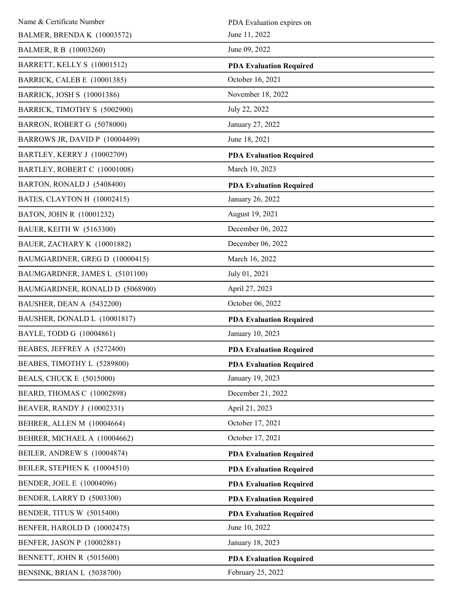| Name & Certificate Number          | PDA Evaluation expires on      |
|------------------------------------|--------------------------------|
| BALMER, BRENDA K (10003572)        | June 11, 2022                  |
| BALMER, R B (10003260)             | June 09, 2022                  |
| BARRETT, KELLY S (10001512)        | <b>PDA Evaluation Required</b> |
| <b>BARRICK, CALEB E (10001385)</b> | October 16, 2021               |
| <b>BARRICK, JOSH S (10001386)</b>  | November 18, 2022              |
| BARRICK, TIMOTHY S (5002900)       | July 22, 2022                  |
| BARRON, ROBERT G (5078000)         | January 27, 2022               |
| BARROWS JR, DAVID P (10004499)     | June 18, 2021                  |
| BARTLEY, KERRY J (10002709)        | <b>PDA Evaluation Required</b> |
| BARTLEY, ROBERT C (10001008)       | March 10, 2023                 |
| BARTON, RONALD J (5408400)         | <b>PDA Evaluation Required</b> |
| BATES, CLAYTON H (10002415)        | January 26, 2022               |
| BATON, JOHN R (10001232)           | August 19, 2021                |
| <b>BAUER, KEITH W (5163300)</b>    | December 06, 2022              |
| BAUER, ZACHARY K (10001882)        | December 06, 2022              |
| BAUMGARDNER, GREG D (10000415)     | March 16, 2022                 |
| BAUMGARDNER, JAMES L (5101100)     | July 01, 2021                  |
| BAUMGARDNER, RONALD D (5068900)    | April 27, 2023                 |
|                                    |                                |
| BAUSHER, DEAN A (5432200)          | October 06, 2022               |
| BAUSHER, DONALD L (10001817)       | <b>PDA Evaluation Required</b> |
| BAYLE, TODD G (10004861)           | January 10, 2023               |
| BEABES, JEFFREY A (5272400)        | <b>PDA Evaluation Required</b> |
| BEABES, TIMOTHY L (5289800)        | <b>PDA Evaluation Required</b> |
| BEALS, CHUCK E (5015000)           | January 19, 2023               |
| BEARD, THOMAS C (10002898)         | December 21, 2022              |
| <b>BEAVER, RANDY J (10002331)</b>  | April 21, 2023                 |
| BEHRER, ALLEN M (10004664)         | October 17, 2021               |
| BEHRER, MICHAEL A (10004662)       | October 17, 2021               |
| BEILER, ANDREW S (10004874)        | <b>PDA Evaluation Required</b> |
| BEILER, STEPHEN K (10004510)       | <b>PDA Evaluation Required</b> |
| BENDER, JOEL E (10004096)          | <b>PDA Evaluation Required</b> |
| BENDER, LARRY D (5003300)          | <b>PDA Evaluation Required</b> |
| BENDER, TITUS W (5015400)          | <b>PDA Evaluation Required</b> |
| BENFER, HAROLD D (10002475)        | June 10, 2022                  |
| BENFER, JASON P (10002881)         | January 18, 2023               |
| BENNETT, JOHN R (5015600)          | <b>PDA Evaluation Required</b> |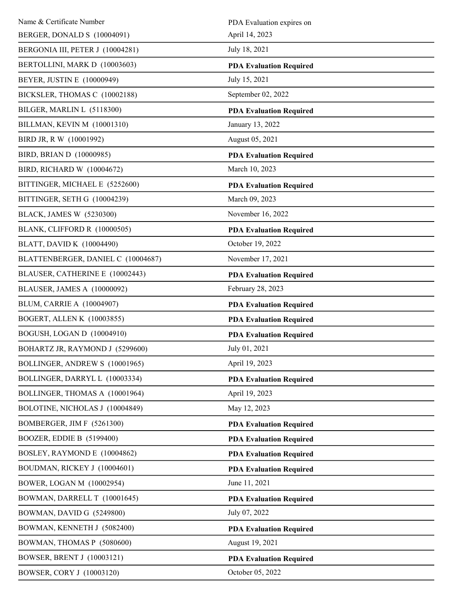| Name & Certificate Number          | PDA Evaluation expires on      |
|------------------------------------|--------------------------------|
| BERGER, DONALD S (10004091)        | April 14, 2023                 |
| BERGONIA III, PETER J (10004281)   | July 18, 2021                  |
| BERTOLLINI, MARK D (10003603)      | <b>PDA Evaluation Required</b> |
| <b>BEYER, JUSTIN E (10000949)</b>  | July 15, 2021                  |
| BICKSLER, THOMAS C (10002188)      | September 02, 2022             |
| BILGER, MARLIN L (5118300)         | <b>PDA Evaluation Required</b> |
| BILLMAN, KEVIN M (10001310)        | January 13, 2022               |
| BIRD JR, R W (10001992)            | August 05, 2021                |
| BIRD, BRIAN D (10000985)           | <b>PDA Evaluation Required</b> |
| BIRD, RICHARD W (10004672)         | March 10, 2023                 |
| BITTINGER, MICHAEL E (5252600)     | <b>PDA Evaluation Required</b> |
| BITTINGER, SETH G (10004239)       | March 09, 2023                 |
| <b>BLACK, JAMES W (5230300)</b>    | November 16, 2022              |
| BLANK, CLIFFORD R (10000505)       | <b>PDA Evaluation Required</b> |
| BLATT, DAVID K (10004490)          | October 19, 2022               |
| BLATTENBERGER, DANIEL C (10004687) | November 17, 2021              |
| BLAUSER, CATHERINE E (10002443)    | <b>PDA Evaluation Required</b> |
| BLAUSER, JAMES A (10000092)        | February 28, 2023              |
|                                    |                                |
| BLUM, CARRIE A (10004907)          | <b>PDA Evaluation Required</b> |
| BOGERT, ALLEN K (10003855)         | <b>PDA Evaluation Required</b> |
| BOGUSH, LOGAN D (10004910)         | <b>PDA Evaluation Required</b> |
| BOHARTZ JR, RAYMOND J (5299600)    | July 01, 2021                  |
| BOLLINGER, ANDREW S (10001965)     | April 19, 2023                 |
| BOLLINGER, DARRYL L (10003334)     | <b>PDA Evaluation Required</b> |
| BOLLINGER, THOMAS A (10001964)     | April 19, 2023                 |
| BOLOTINE, NICHOLAS J (10004849)    | May 12, 2023                   |
| BOMBERGER, JIM F (5261300)         | <b>PDA Evaluation Required</b> |
| BOOZER, EDDIE B (5199400)          | <b>PDA Evaluation Required</b> |
| BOSLEY, RAYMOND E (10004862)       | <b>PDA Evaluation Required</b> |
| BOUDMAN, RICKEY J (10004601)       | <b>PDA Evaluation Required</b> |
| BOWER, LOGAN M (10002954)          | June 11, 2021                  |
| BOWMAN, DARRELL T (10001645)       | <b>PDA Evaluation Required</b> |
| BOWMAN, DAVID G (5249800)          | July 07, 2022                  |
| BOWMAN, KENNETH J (5082400)        | <b>PDA Evaluation Required</b> |
| BOWMAN, THOMAS P (5080600)         | August 19, 2021                |
| <b>BOWSER, BRENT J (10003121)</b>  | <b>PDA Evaluation Required</b> |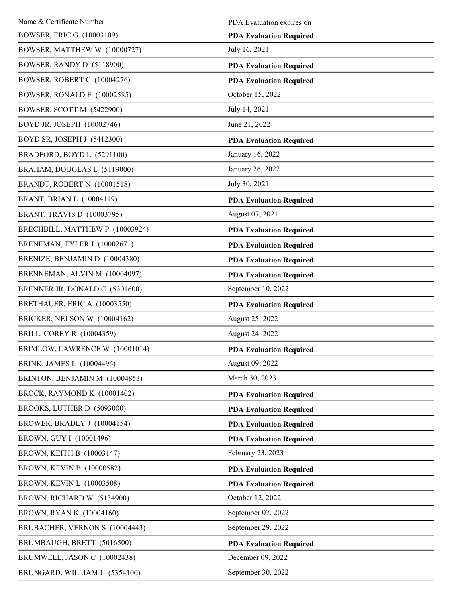| Name & Certificate Number         | PDA Evaluation expires on      |
|-----------------------------------|--------------------------------|
| BOWSER, ERIC G (10003109)         | <b>PDA Evaluation Required</b> |
| BOWSER, MATTHEW W (10000727)      | July 16, 2021                  |
| BOWSER, RANDY D (5118900)         | <b>PDA Evaluation Required</b> |
| BOWSER, ROBERT C (10004276)       | <b>PDA Evaluation Required</b> |
| BOWSER, RONALD E (10002585)       | October 15, 2022               |
| BOWSER, SCOTT M (5422900)         | July 14, 2021                  |
| BOYD JR, JOSEPH (10002746)        | June 21, 2022                  |
| BOYD SR, JOSEPH J (5412300)       | <b>PDA Evaluation Required</b> |
| BRADFORD, BOYD L (5291100)        | January 16, 2022               |
| BRAHAM, DOUGLAS L (5119000)       | January 26, 2022               |
| BRANDT, ROBERT N (10001518)       | July 30, 2021                  |
| <b>BRANT, BRIAN L (10004119)</b>  | <b>PDA Evaluation Required</b> |
| <b>BRANT, TRAVIS D (10003795)</b> | August 07, 2021                |
| BRECHBILL, MATTHEW P (10003924)   | <b>PDA Evaluation Required</b> |
| BRENEMAN, TYLER J (10002671)      | <b>PDA Evaluation Required</b> |
| BRENIZE, BENJAMIN D (10004380)    | <b>PDA Evaluation Required</b> |
| BRENNEMAN, ALVIN M (10004097)     | <b>PDA Evaluation Required</b> |
| BRENNER JR, DONALD C (5301600)    | September 10, 2022             |
|                                   |                                |
| BRETHAUER, ERIC A (10003550)      | <b>PDA Evaluation Required</b> |
| BRICKER, NELSON W (10004162)      | August 25, 2022                |
| BRILL, COREY R (10004359)         | August 24, 2022                |
| BRIMLOW, LAWRENCE W (10001014)    | <b>PDA Evaluation Required</b> |
| BRINK, JAMES L (10004496)         | August 09, 2022                |
| BRINTON, BENJAMIN M (10004853)    | March 30, 2023                 |
| BROCK, RAYMOND K (10001402)       | <b>PDA Evaluation Required</b> |
| BROOKS, LUTHER D (5093000)        | <b>PDA Evaluation Required</b> |
| BROWER, BRADLY J (10004154)       | <b>PDA Evaluation Required</b> |
| BROWN, GUY I (10001496)           | <b>PDA Evaluation Required</b> |
| BROWN, KEITH B (10003147)         | February 23, 2023              |
| <b>BROWN, KEVIN B (10000582)</b>  | <b>PDA Evaluation Required</b> |
| BROWN, KEVIN L (10003508)         | <b>PDA Evaluation Required</b> |
| BROWN, RICHARD W (5134900)        | October 12, 2022               |
| BROWN, RYAN K (10004160)          | September 07, 2022             |
| BRUBACHER, VERNON S (10004443)    | September 29, 2022             |
| BRUMBAUGH, BRETT (5016500)        | <b>PDA Evaluation Required</b> |
| BRUMWELL, JASON C (10002438)      | December 09, 2022              |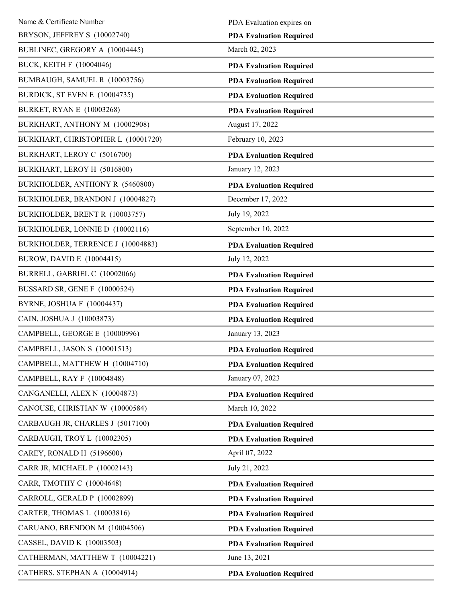| Name & Certificate Number          | PDA Evaluation expires on      |
|------------------------------------|--------------------------------|
| BRYSON, JEFFREY S (10002740)       | <b>PDA Evaluation Required</b> |
| BUBLINEC, GREGORY A (10004445)     | March 02, 2023                 |
| BUCK, KEITH F (10004046)           | <b>PDA Evaluation Required</b> |
| BUMBAUGH, SAMUEL R (10003756)      | <b>PDA Evaluation Required</b> |
| BURDICK, ST EVEN E (10004735)      | <b>PDA Evaluation Required</b> |
| <b>BURKET, RYAN E (10003268)</b>   | <b>PDA Evaluation Required</b> |
| BURKHART, ANTHONY M (10002908)     | August 17, 2022                |
| BURKHART, CHRISTOPHER L (10001720) | February 10, 2023              |
| BURKHART, LEROY C (5016700)        | <b>PDA Evaluation Required</b> |
| BURKHART, LEROY H (5016800)        | January 12, 2023               |
| BURKHOLDER, ANTHONY R (5460800)    | <b>PDA Evaluation Required</b> |
| BURKHOLDER, BRANDON J (10004827)   | December 17, 2022              |
| BURKHOLDER, BRENT R (10003757)     | July 19, 2022                  |
| BURKHOLDER, LONNIE D (10002116)    | September 10, 2022             |
| BURKHOLDER, TERRENCE J (10004883)  | <b>PDA Evaluation Required</b> |
| BUROW, DAVID E (10004415)          | July 12, 2022                  |
| BURRELL, GABRIEL C (10002066)      | <b>PDA Evaluation Required</b> |
| BUSSARD SR, GENE F (10000524)      | <b>PDA Evaluation Required</b> |
| BYRNE, JOSHUA F (10004437)         | <b>PDA Evaluation Required</b> |
| CAIN, JOSHUA J (10003873)          | <b>PDA Evaluation Required</b> |
| CAMPBELL, GEORGE E (10000996)      | January 13, 2023               |
| CAMPBELL, JASON S (10001513)       | <b>PDA Evaluation Required</b> |
| CAMPBELL, MATTHEW H (10004710)     | <b>PDA Evaluation Required</b> |
| CAMPBELL, RAY F (10004848)         | January 07, 2023               |
| CANGANELLI, ALEX N (10004873)      | <b>PDA Evaluation Required</b> |
| CANOUSE, CHRISTIAN W (10000584)    | March 10, 2022                 |
| CARBAUGH JR, CHARLES J (5017100)   | <b>PDA Evaluation Required</b> |
| CARBAUGH, TROY L (10002305)        | <b>PDA Evaluation Required</b> |
| CAREY, RONALD H (5196600)          | April 07, 2022                 |
| CARR JR, MICHAEL P (10002143)      | July 21, 2022                  |
| CARR, TMOTHY C (10004648)          | <b>PDA Evaluation Required</b> |
| CARROLL, GERALD P (10002899)       | <b>PDA Evaluation Required</b> |
| CARTER, THOMAS L (10003816)        | <b>PDA Evaluation Required</b> |
| CARUANO, BRENDON M (10004506)      | <b>PDA Evaluation Required</b> |
| CASSEL, DAVID K (10003503)         | <b>PDA Evaluation Required</b> |
| CATHERMAN, MATTHEW T (10004221)    | June 13, 2021                  |
| CATHERS, STEPHAN A (10004914)      | <b>PDA Evaluation Required</b> |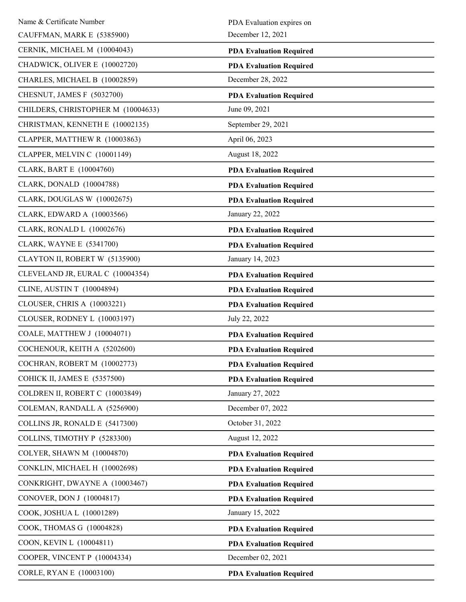| Name & Certificate Number          | PDA Evaluation expires on      |
|------------------------------------|--------------------------------|
| CAUFFMAN, MARK E (5385900)         | December 12, 2021              |
| CERNIK, MICHAEL M (10004043)       | <b>PDA Evaluation Required</b> |
| CHADWICK, OLIVER E (10002720)      | <b>PDA Evaluation Required</b> |
| CHARLES, MICHAEL B (10002859)      | December 28, 2022              |
| CHESNUT, JAMES F (5032700)         | <b>PDA Evaluation Required</b> |
| CHILDERS, CHRISTOPHER M (10004633) | June 09, 2021                  |
| CHRISTMAN, KENNETH E (10002135)    | September 29, 2021             |
| CLAPPER, MATTHEW R (10003863)      | April 06, 2023                 |
| CLAPPER, MELVIN C (10001149)       | August 18, 2022                |
| CLARK, BART E (10004760)           | <b>PDA Evaluation Required</b> |
| CLARK, DONALD (10004788)           | <b>PDA Evaluation Required</b> |
| CLARK, DOUGLAS W (10002675)        | <b>PDA Evaluation Required</b> |
| CLARK, EDWARD A (10003566)         | January 22, 2022               |
| CLARK, RONALD L (10002676)         | <b>PDA Evaluation Required</b> |
| CLARK, WAYNE E (5341700)           | <b>PDA Evaluation Required</b> |
| CLAYTON II, ROBERT W (5135900)     | January 14, 2023               |
| CLEVELAND JR, EURAL C (10004354)   | <b>PDA Evaluation Required</b> |
| CLINE, AUSTIN T (10004894)         | <b>PDA Evaluation Required</b> |
| CLOUSER, CHRIS A (10003221)        | <b>PDA Evaluation Required</b> |
| CLOUSER, RODNEY L (10003197)       | July 22, 2022                  |
| COALE, MATTHEW J (10004071)        | <b>PDA Evaluation Required</b> |
| COCHENOUR, KEITH A (5202600)       | <b>PDA Evaluation Required</b> |
| COCHRAN, ROBERT M (10002773)       | <b>PDA Evaluation Required</b> |
| COHICK II, JAMES E (5357500)       | <b>PDA Evaluation Required</b> |
| COLDREN II, ROBERT C (10003849)    | January 27, 2022               |
| COLEMAN, RANDALL A (5256900)       | December 07, 2022              |
| COLLINS JR, RONALD E (5417300)     | October 31, 2022               |
| COLLINS, TIMOTHY P (5283300)       | August 12, 2022                |
| COLYER, SHAWN M (10004870)         | <b>PDA Evaluation Required</b> |
| CONKLIN, MICHAEL H (10002698)      | <b>PDA Evaluation Required</b> |
| CONKRIGHT, DWAYNE A (10003467)     | <b>PDA Evaluation Required</b> |
| CONOVER, DON J (10004817)          | <b>PDA Evaluation Required</b> |
| COOK, JOSHUA L (10001289)          | January 15, 2022               |
| COOK, THOMAS G (10004828)          | <b>PDA Evaluation Required</b> |
| COON, KEVIN L (10004811)           | <b>PDA Evaluation Required</b> |
| COOPER, VINCENT P (10004334)       | December 02, 2021              |
| CORLE, RYAN E (10003100)           | <b>PDA Evaluation Required</b> |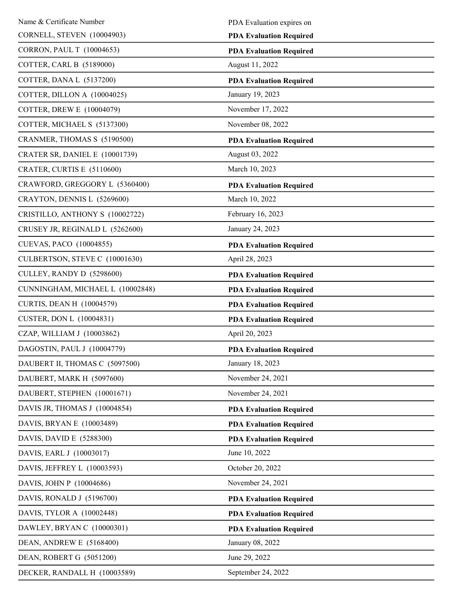| Name & Certificate Number        | PDA Evaluation expires on      |
|----------------------------------|--------------------------------|
| CORNELL, STEVEN (10004903)       | <b>PDA Evaluation Required</b> |
| CORRON, PAUL T (10004653)        | <b>PDA Evaluation Required</b> |
| COTTER, CARL B (5189000)         | August 11, 2022                |
| COTTER, DANA L (5137200)         | <b>PDA Evaluation Required</b> |
| COTTER, DILLON A (10004025)      | January 19, 2023               |
| COTTER, DREW E (10004079)        | November 17, 2022              |
| COTTER, MICHAEL S (5137300)      | November 08, 2022              |
| CRANMER, THOMAS S (5190500)      | <b>PDA Evaluation Required</b> |
| CRATER SR, DANIEL E (10001739)   | August 03, 2022                |
| CRATER, CURTIS E (5110600)       | March 10, 2023                 |
| CRAWFORD, GREGGORY L (5360400)   | <b>PDA Evaluation Required</b> |
| CRAYTON, DENNIS L (5269600)      | March 10, 2022                 |
| CRISTILLO, ANTHONY S (10002722)  | February 16, 2023              |
| CRUSEY JR, REGINALD L (5262600)  | January 24, 2023               |
| CUEVAS, PACO (10004855)          | <b>PDA Evaluation Required</b> |
| CULBERTSON, STEVE C (10001630)   | April 28, 2023                 |
| CULLEY, RANDY D (5298600)        | <b>PDA Evaluation Required</b> |
| CUNNINGHAM, MICHAEL L (10002848) | <b>PDA Evaluation Required</b> |
|                                  |                                |
| <b>CURTIS, DEAN H (10004579)</b> | <b>PDA Evaluation Required</b> |
| CUSTER, DON L (10004831)         | <b>PDA Evaluation Required</b> |
| CZAP, WILLIAM J (10003862)       | April 20, 2023                 |
| DAGOSTIN, PAUL J (10004779)      | <b>PDA Evaluation Required</b> |
| DAUBERT II, THOMAS C (5097500)   | January 18, 2023               |
| DAUBERT, MARK H (5097600)        | November 24, 2021              |
| DAUBERT, STEPHEN (10001671)      | November 24, 2021              |
| DAVIS JR, THOMAS J (10004854)    | <b>PDA Evaluation Required</b> |
| DAVIS, BRYAN E (10003489)        | <b>PDA Evaluation Required</b> |
| DAVIS, DAVID E (5288300)         | <b>PDA Evaluation Required</b> |
| DAVIS, EARL J (10003017)         | June 10, 2022                  |
| DAVIS, JEFFREY L (10003593)      | October 20, 2022               |
| DAVIS, JOHN P (10004686)         | November 24, 2021              |
| DAVIS, RONALD J (5196700)        | <b>PDA Evaluation Required</b> |
| DAVIS, TYLOR A (10002448)        | <b>PDA Evaluation Required</b> |
| DAWLEY, BRYAN C (10000301)       | <b>PDA Evaluation Required</b> |
| DEAN, ANDREW E (5168400)         | January 08, 2022               |
| DEAN, ROBERT G (5051200)         | June 29, 2022                  |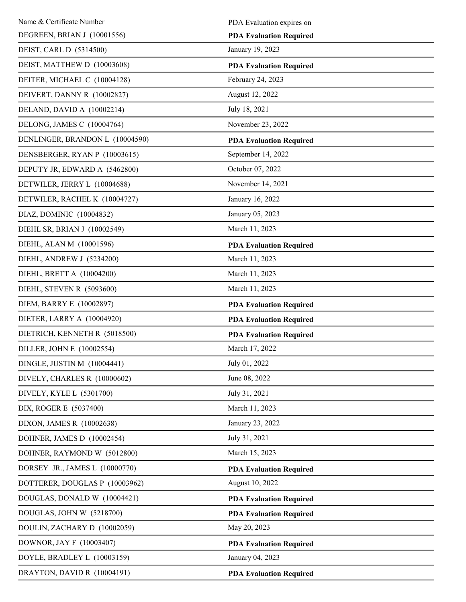| Name & Certificate Number       | PDA Evaluation expires on      |
|---------------------------------|--------------------------------|
| DEGREEN, BRIAN J (10001556)     | <b>PDA Evaluation Required</b> |
| DEIST, CARL D (5314500)         | January 19, 2023               |
| DEIST, MATTHEW D (10003608)     | <b>PDA Evaluation Required</b> |
| DEITER, MICHAEL C (10004128)    | February 24, 2023              |
| DEIVERT, DANNY R (10002827)     | August 12, 2022                |
| DELAND, DAVID A (10002214)      | July 18, 2021                  |
| DELONG, JAMES C (10004764)      | November 23, 2022              |
| DENLINGER, BRANDON L (10004590) | <b>PDA Evaluation Required</b> |
| DENSBERGER, RYAN P (10003615)   | September 14, 2022             |
| DEPUTY JR, EDWARD A (5462800)   | October 07, 2022               |
| DETWILER, JERRY L (10004688)    | November 14, 2021              |
| DETWILER, RACHEL K (10004727)   | January 16, 2022               |
| DIAZ, DOMINIC (10004832)        | January 05, 2023               |
| DIEHL SR, BRIAN J (10002549)    | March 11, 2023                 |
| DIEHL, ALAN M (10001596)        | <b>PDA Evaluation Required</b> |
| DIEHL, ANDREW J (5234200)       | March 11, 2023                 |
| DIEHL, BRETT A (10004200)       | March 11, 2023                 |
| DIEHL, STEVEN R (5093600)       | March 11, 2023                 |
|                                 |                                |
| DIEM, BARRY E (10002897)        | <b>PDA Evaluation Required</b> |
| DIETER, LARRY A (10004920)      | <b>PDA Evaluation Required</b> |
| DIETRICH, KENNETH R (5018500)   | <b>PDA Evaluation Required</b> |
| DILLER, JOHN E (10002554)       | March 17, 2022                 |
| DINGLE, JUSTIN M (10004441)     | July 01, 2022                  |
| DIVELY, CHARLES R (10000602)    | June 08, 2022                  |
| DIVELY, KYLE L (5301700)        | July 31, 2021                  |
| DIX, ROGER E (5037400)          | March 11, 2023                 |
| DIXON, JAMES R (10002638)       | January 23, 2022               |
| DOHNER, JAMES D (10002454)      | July 31, 2021                  |
| DOHNER, RAYMOND W (5012800)     | March 15, 2023                 |
| DORSEY JR., JAMES L (10000770)  | <b>PDA Evaluation Required</b> |
| DOTTERER, DOUGLAS P (10003962)  | August 10, 2022                |
| DOUGLAS, DONALD W (10004421)    | <b>PDA Evaluation Required</b> |
| DOUGLAS, JOHN W (5218700)       | <b>PDA Evaluation Required</b> |
| DOULIN, ZACHARY D (10002059)    | May 20, 2023                   |
| DOWNOR, JAY F (10003407)        | <b>PDA Evaluation Required</b> |
| DOYLE, BRADLEY L (10003159)     | January 04, 2023               |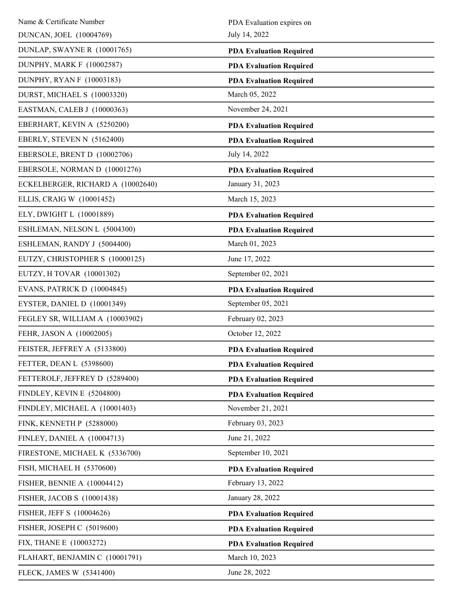| Name & Certificate Number         | PDA Evaluation expires on      |
|-----------------------------------|--------------------------------|
| DUNCAN, JOEL (10004769)           | July 14, 2022                  |
| DUNLAP, SWAYNE R (10001765)       | <b>PDA Evaluation Required</b> |
| DUNPHY, MARK F (10002587)         | <b>PDA Evaluation Required</b> |
| DUNPHY, RYAN F (10003183)         | <b>PDA Evaluation Required</b> |
| DURST, MICHAEL S (10003320)       | March 05, 2022                 |
| EASTMAN, CALEB J (10000363)       | November 24, 2021              |
| EBERHART, KEVIN A (5250200)       | <b>PDA Evaluation Required</b> |
| EBERLY, STEVEN N (5162400)        | <b>PDA Evaluation Required</b> |
| EBERSOLE, BRENT D (10002706)      | July 14, 2022                  |
| EBERSOLE, NORMAN D (10001276)     | <b>PDA Evaluation Required</b> |
| ECKELBERGER, RICHARD A (10002640) | January 31, 2023               |
| ELLIS, CRAIG W (10001452)         | March 15, 2023                 |
| ELY, DWIGHT L (10001889)          | <b>PDA Evaluation Required</b> |
| ESHLEMAN, NELSON L (5004300)      | <b>PDA Evaluation Required</b> |
| ESHLEMAN, RANDY J (5004400)       | March 01, 2023                 |
| EUTZY, CHRISTOPHER S (10000125)   | June 17, 2022                  |
| EUTZY, H TOVAR (10001302)         | September 02, 2021             |
| EVANS, PATRICK D (10004845)       | <b>PDA Evaluation Required</b> |
| EYSTER, DANIEL D (10001349)       | September 05, 2021             |
| FEGLEY SR, WILLIAM A (10003902)   | February 02, 2023              |
| FEHR, JASON A (10002005)          | October 12, 2022               |
| FEISTER, JEFFREY A (5133800)      | <b>PDA Evaluation Required</b> |
| FETTER, DEAN L (5398600)          | <b>PDA Evaluation Required</b> |
| FETTEROLF, JEFFREY D (5289400)    | <b>PDA Evaluation Required</b> |
| FINDLEY, KEVIN E (5204800)        | <b>PDA Evaluation Required</b> |
| FINDLEY, MICHAEL A (10001403)     | November 21, 2021              |
| FINK, KENNETH P (5288000)         | February 03, 2023              |
| FINLEY, DANIEL A (10004713)       | June 21, 2022                  |
| FIRESTONE, MICHAEL K (5336700)    | September 10, 2021             |
| FISH, MICHAEL H (5370600)         | <b>PDA Evaluation Required</b> |
| FISHER, BENNIE A (10004412)       | February 13, 2022              |
| FISHER, JACOB S (10001438)        | January 28, 2022               |
| FISHER, JEFF S (10004626)         | <b>PDA Evaluation Required</b> |
| FISHER, JOSEPH C (5019600)        | <b>PDA Evaluation Required</b> |
| FIX, THANE E (10003272)           | <b>PDA Evaluation Required</b> |
| FLAHART, BENJAMIN C (10001791)    | March 10, 2023                 |
| FLECK, JAMES W (5341400)          | June 28, 2022                  |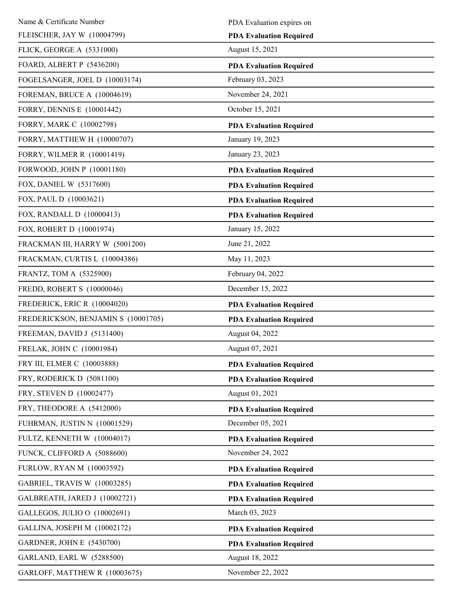| Name & Certificate Number           | PDA Evaluation expires on      |
|-------------------------------------|--------------------------------|
| FLEISCHER, JAY W (10004799)         | <b>PDA Evaluation Required</b> |
| FLICK, GEORGE A (5331000)           | August 15, 2021                |
| FOARD, ALBERT P (5436200)           | <b>PDA Evaluation Required</b> |
| FOGELSANGER, JOEL D (10003174)      | February 03, 2023              |
| FOREMAN, BRUCE A (10004619)         | November 24, 2021              |
| FORRY, DENNIS E (10001442)          | October 15, 2021               |
| FORRY, MARK C (10002798)            | <b>PDA Evaluation Required</b> |
| FORRY, MATTHEW H (10000707)         | January 19, 2023               |
| FORRY, WILMER R (10001419)          | January 23, 2023               |
| FORWOOD, JOHN P (10001180)          | <b>PDA Evaluation Required</b> |
| FOX, DANIEL W (5317600)             | <b>PDA Evaluation Required</b> |
| FOX, PAUL D (10003621)              | <b>PDA Evaluation Required</b> |
| FOX, RANDALL D (10000413)           | <b>PDA Evaluation Required</b> |
| FOX, ROBERT D (10001974)            | January 15, 2022               |
| FRACKMAN III, HARRY W (5001200)     | June 21, 2022                  |
| FRACKMAN, CURTIS L (10004386)       | May 11, 2023                   |
| FRANTZ, TOM A (5325900)             | February 04, 2022              |
| FREDD, ROBERT S (10000046)          | December 15, 2022              |
|                                     |                                |
| FREDERICK, ERIC R (10004020)        | <b>PDA Evaluation Required</b> |
| FREDERICKSON, BENJAMIN S (10001705) | <b>PDA Evaluation Required</b> |
| FREEMAN, DAVID J (5131400)          | August 04, 2022                |
| FRELAK, JOHN C (10001984)           | August 07, 2021                |
| FRY III, ELMER C (10003888)         | <b>PDA Evaluation Required</b> |
| FRY, RODERICK D (5081100)           | <b>PDA Evaluation Required</b> |
| FRY, STEVEN D (10002477)            | August 01, 2021                |
| FRY, THEODORE A (5412000)           | <b>PDA Evaluation Required</b> |
| FUHRMAN, JUSTIN N (10001529)        | December 05, 2021              |
| FULTZ, KENNETH W (10004017)         | <b>PDA Evaluation Required</b> |
| FUNCK, CLIFFORD A (5088600)         | November 24, 2022              |
| FURLOW, RYAN M (10003592)           | <b>PDA Evaluation Required</b> |
| GABRIEL, TRAVIS W (10003285)        | <b>PDA Evaluation Required</b> |
| GALBREATH, JARED J (10002721)       | <b>PDA Evaluation Required</b> |
| GALLEGOS, JULIO O (10002691)        | March 03, 2023                 |
| GALLINA, JOSEPH M (10002172)        | <b>PDA Evaluation Required</b> |
| <b>GARDNER, JOHN E (5430700)</b>    | <b>PDA Evaluation Required</b> |
| GARLAND, EARL W (5288500)           | August 18, 2022                |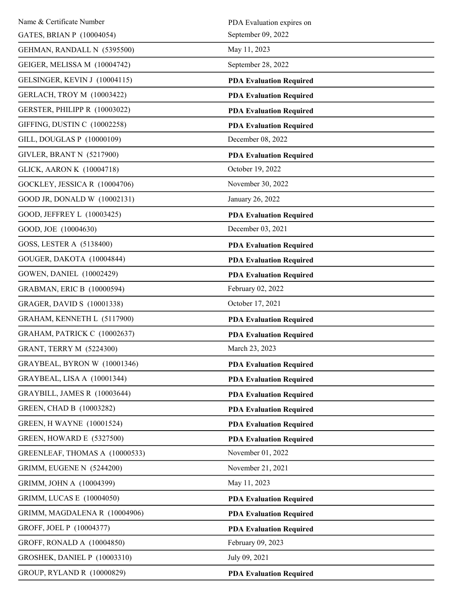| Name & Certificate Number           | PDA Evaluation expires on      |
|-------------------------------------|--------------------------------|
| GATES, BRIAN P (10004054)           | September 09, 2022             |
| GEHMAN, RANDALL N (5395500)         | May 11, 2023                   |
| GEIGER, MELISSA M (10004742)        | September 28, 2022             |
| GELSINGER, KEVIN J (10004115)       | <b>PDA Evaluation Required</b> |
| GERLACH, TROY M (10003422)          | <b>PDA Evaluation Required</b> |
| GERSTER, PHILIPP R (10003022)       | <b>PDA Evaluation Required</b> |
| GIFFING, DUSTIN C (10002258)        | <b>PDA Evaluation Required</b> |
| GILL, DOUGLAS P (10000109)          | December 08, 2022              |
| <b>GIVLER, BRANT N (5217900)</b>    | <b>PDA Evaluation Required</b> |
| GLICK, AARON K (10004718)           | October 19, 2022               |
| GOCKLEY, JESSICA R (10004706)       | November 30, 2022              |
| GOOD JR, DONALD W (10002131)        | January 26, 2022               |
| GOOD, JEFFREY L (10003425)          | <b>PDA Evaluation Required</b> |
| GOOD, JOE (10004630)                | December 03, 2021              |
| GOSS, LESTER A (5138400)            | <b>PDA Evaluation Required</b> |
| GOUGER, DAKOTA (10004844)           | <b>PDA Evaluation Required</b> |
| GOWEN, DANIEL (10002429)            | <b>PDA Evaluation Required</b> |
| GRABMAN, ERIC B (10000594)          | February 02, 2022              |
| GRAGER, DAVID S (10001338)          | October 17, 2021               |
| GRAHAM, KENNETH L (5117900)         | <b>PDA Evaluation Required</b> |
| GRAHAM, PATRICK C (10002637)        | <b>PDA Evaluation Required</b> |
| GRANT, TERRY M (5224300)            | March 23, 2023                 |
| GRAYBEAL, BYRON W (10001346)        | <b>PDA Evaluation Required</b> |
| GRAYBEAL, LISA A (10001344)         | <b>PDA Evaluation Required</b> |
| <b>GRAYBILL, JAMES R (10003644)</b> | <b>PDA Evaluation Required</b> |
| GREEN, CHAD B (10003282)            | <b>PDA Evaluation Required</b> |
| GREEN, H WAYNE (10001524)           | <b>PDA Evaluation Required</b> |
| GREEN, HOWARD E (5327500)           | <b>PDA Evaluation Required</b> |
| GREENLEAF, THOMAS A (10000533)      | November 01, 2022              |
| GRIMM, EUGENE N (5244200)           | November 21, 2021              |
| GRIMM, JOHN A (10004399)            | May 11, 2023                   |
| GRIMM, LUCAS E (10004050)           | <b>PDA Evaluation Required</b> |
| GRIMM, MAGDALENA R (10004906)       | <b>PDA Evaluation Required</b> |
| GROFF, JOEL P (10004377)            | <b>PDA Evaluation Required</b> |
| GROFF, RONALD A (10004850)          | February 09, 2023              |
| <b>GROSHEK, DANIEL P (10003310)</b> | July 09, 2021                  |
| GROUP, RYLAND R (10000829)          | <b>PDA Evaluation Required</b> |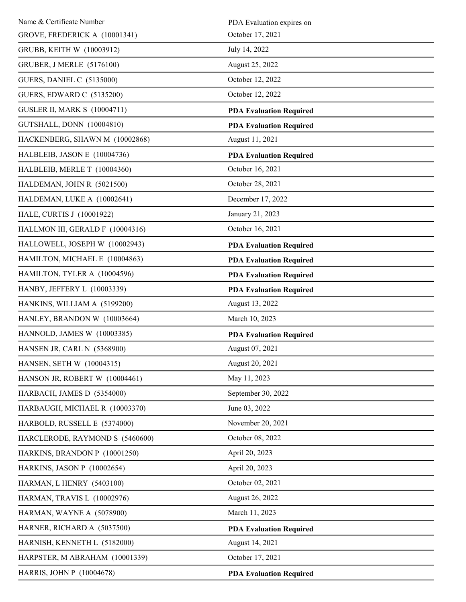| Name & Certificate Number           | PDA Evaluation expires on      |
|-------------------------------------|--------------------------------|
| GROVE, FREDERICK A (10001341)       | October 17, 2021               |
| GRUBB, KEITH W (10003912)           | July 14, 2022                  |
| GRUBER, J MERLE (5176100)           | August 25, 2022                |
| GUERS, DANIEL C (5135000)           | October 12, 2022               |
| GUERS, EDWARD C (5135200)           | October 12, 2022               |
| <b>GUSLER II, MARK S (10004711)</b> | <b>PDA Evaluation Required</b> |
| GUTSHALL, DONN (10004810)           | <b>PDA Evaluation Required</b> |
| HACKENBERG, SHAWN M (10002868)      | August 11, 2021                |
| HALBLEIB, JASON E (10004736)        | <b>PDA Evaluation Required</b> |
| HALBLEIB, MERLE T (10004360)        | October 16, 2021               |
| HALDEMAN, JOHN R (5021500)          | October 28, 2021               |
| HALDEMAN, LUKE A (10002641)         | December 17, 2022              |
| HALE, CURTIS J (10001922)           | January 21, 2023               |
| HALLMON III, GERALD F (10004316)    | October 16, 2021               |
| HALLOWELL, JOSEPH W (10002943)      | <b>PDA Evaluation Required</b> |
| HAMILTON, MICHAEL E (10004863)      | <b>PDA Evaluation Required</b> |
| HAMILTON, TYLER A (10004596)        | <b>PDA Evaluation Required</b> |
| HANBY, JEFFERY L (10003339)         | <b>PDA Evaluation Required</b> |
| HANKINS, WILLIAM A (5199200)        | August 13, 2022                |
| HANLEY, BRANDON W (10003664)        | March 10, 2023                 |
| HANNOLD, JAMES W (10003385)         | <b>PDA Evaluation Required</b> |
| HANSEN JR, CARL N (5368900)         | August 07, 2021                |
| HANSEN, SETH W (10004315)           | August 20, 2021                |
| HANSON JR, ROBERT W (10004461)      | May 11, 2023                   |
| HARBACH, JAMES D (5354000)          | September 30, 2022             |
| HARBAUGH, MICHAEL R (10003370)      | June 03, 2022                  |
| HARBOLD, RUSSELL E (5374000)        | November 20, 2021              |
| HARCLERODE, RAYMOND S (5460600)     | October 08, 2022               |
| HARKINS, BRANDON P (10001250)       | April 20, 2023                 |
| HARKINS, JASON P (10002654)         | April 20, 2023                 |
| <b>HARMAN, L HENRY (5403100)</b>    | October 02, 2021               |
| HARMAN, TRAVIS L (10002976)         | August 26, 2022                |
| HARMAN, WAYNE A (5078900)           | March 11, 2023                 |
| HARNER, RICHARD A (5037500)         | <b>PDA Evaluation Required</b> |
| HARNISH, KENNETH L (5182000)        | August 14, 2021                |
| HARPSTER, M ABRAHAM (10001339)      | October 17, 2021               |
| HARRIS, JOHN P (10004678)           | <b>PDA Evaluation Required</b> |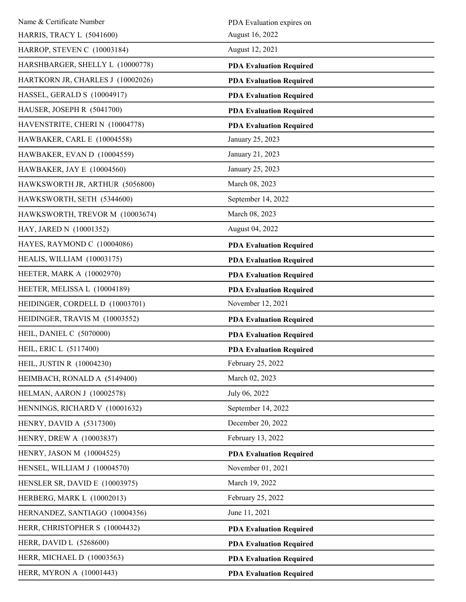| Name & Certificate Number         | PDA Evaluation expires on      |
|-----------------------------------|--------------------------------|
| HARRIS, TRACY L (5041600)         | August 16, 2022                |
| HARROP, STEVEN C (10003184)       | August 12, 2021                |
| HARSHBARGER, SHELLY L (10000778)  | <b>PDA Evaluation Required</b> |
| HARTKORN JR, CHARLES J (10002026) | <b>PDA Evaluation Required</b> |
| HASSEL, GERALD S (10004917)       | <b>PDA Evaluation Required</b> |
| HAUSER, JOSEPH R (5041700)        | <b>PDA Evaluation Required</b> |
| HAVENSTRITE, CHERI N (10004778)   | <b>PDA Evaluation Required</b> |
| HAWBAKER, CARL E (10004558)       | January 25, 2023               |
| HAWBAKER, EVAN D (10004559)       | January 21, 2023               |
| HAWBAKER, JAY E (10004560)        | January 25, 2023               |
| HAWKSWORTH JR, ARTHUR (5056800)   | March 08, 2023                 |
| HAWKSWORTH, SETH (5344600)        | September 14, 2022             |
| HAWKSWORTH, TREVOR M (10003674)   | March 08, 2023                 |
| HAY, JARED N (10001352)           | August 04, 2022                |
| HAYES, RAYMOND C (10004086)       | <b>PDA Evaluation Required</b> |
| HEALIS, WILLIAM (10003175)        | <b>PDA Evaluation Required</b> |
| HEETER, MARK A (10002970)         | <b>PDA Evaluation Required</b> |
| HEETER, MELISSA L (10004189)      | <b>PDA Evaluation Required</b> |
| HEIDINGER, CORDELL D (10003701)   | November 12, 2021              |
| HEIDINGER, TRAVIS M (10003552)    | <b>PDA Evaluation Required</b> |
| HEIL, DANIEL C (5070000)          | <b>PDA Evaluation Required</b> |
| HEIL, ERIC L (5117400)            | <b>PDA Evaluation Required</b> |
| HEIL, JUSTIN R (10004230)         | February 25, 2022              |
| HEIMBACH, RONALD A (5149400)      | March 02, 2023                 |
| HELMAN, AARON J (10002578)        | July 06, 2022                  |
| HENNINGS, RICHARD V (10001632)    | September 14, 2022             |
| HENRY, DAVID A (5317300)          | December 20, 2022              |
| HENRY, DREW A (10003837)          | February 13, 2022              |
| HENRY, JASON M (10004525)         | <b>PDA Evaluation Required</b> |
| HENSEL, WILLIAM J (10004570)      | November 01, 2021              |
| HENSLER SR, DAVID E (10003975)    | March 19, 2022                 |
| HERBERG, MARK L (10002013)        | February 25, 2022              |
| HERNANDEZ, SANTIAGO (10004356)    | June 11, 2021                  |
| HERR, CHRISTOPHER S (10004432)    | <b>PDA Evaluation Required</b> |
| HERR, DAVID L (5268600)           | <b>PDA Evaluation Required</b> |
| HERR, MICHAEL D (10003563)        | <b>PDA Evaluation Required</b> |
| HERR, MYRON A (10001443)          | <b>PDA Evaluation Required</b> |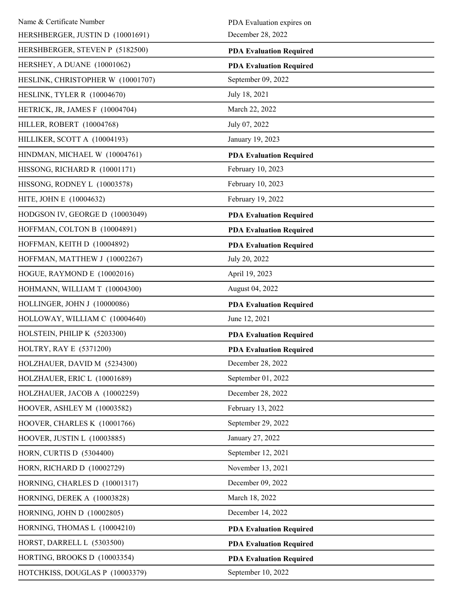| Name & Certificate Number         | PDA Evaluation expires on      |
|-----------------------------------|--------------------------------|
| HERSHBERGER, JUSTIN D (10001691)  | December 28, 2022              |
| HERSHBERGER, STEVEN P (5182500)   | <b>PDA Evaluation Required</b> |
| HERSHEY, A DUANE (10001062)       | <b>PDA Evaluation Required</b> |
| HESLINK, CHRISTOPHER W (10001707) | September 09, 2022             |
| HESLINK, TYLER R (10004670)       | July 18, 2021                  |
| HETRICK, JR, JAMES F (10004704)   | March 22, 2022                 |
| HILLER, ROBERT (10004768)         | July 07, 2022                  |
| HILLIKER, SCOTT A (10004193)      | January 19, 2023               |
| HINDMAN, MICHAEL W (10004761)     | <b>PDA Evaluation Required</b> |
| HISSONG, RICHARD R (10001171)     | February 10, 2023              |
| HISSONG, RODNEY L (10003578)      | February 10, 2023              |
| HITE, JOHN E (10004632)           | February 19, 2022              |
| HODGSON IV, GEORGE D (10003049)   | <b>PDA Evaluation Required</b> |
| HOFFMAN, COLTON B (10004891)      | <b>PDA Evaluation Required</b> |
| HOFFMAN, KEITH D (10004892)       | <b>PDA Evaluation Required</b> |
| HOFFMAN, MATTHEW J (10002267)     | July 20, 2022                  |
| HOGUE, RAYMOND E (10002016)       | April 19, 2023                 |
| HOHMANN, WILLIAM T (10004300)     | August 04, 2022                |
|                                   |                                |
| HOLLINGER, JOHN J (10000086)      | <b>PDA Evaluation Required</b> |
| HOLLOWAY, WILLIAM C (10004640)    | June 12, 2021                  |
| HOLSTEIN, PHILIP K (5203300)      | <b>PDA Evaluation Required</b> |
| HOLTRY, RAY E (5371200)           | <b>PDA Evaluation Required</b> |
| HOLZHAUER, DAVID M (5234300)      | December 28, 2022              |
| HOLZHAUER, ERIC L (10001689)      | September 01, 2022             |
| HOLZHAUER, JACOB A (10002259)     | December 28, 2022              |
| HOOVER, ASHLEY M (10003582)       | February 13, 2022              |
| HOOVER, CHARLES K (10001766)      | September 29, 2022             |
| HOOVER, JUSTIN L (10003885)       | January 27, 2022               |
| HORN, CURTIS D (5304400)          | September 12, 2021             |
| HORN, RICHARD D (10002729)        | November 13, 2021              |
| HORNING, CHARLES D (10001317)     | December 09, 2022              |
| HORNING, DEREK A (10003828)       | March 18, 2022                 |
| HORNING, JOHN D (10002805)        | December 14, 2022              |
| HORNING, THOMAS L (10004210)      | <b>PDA Evaluation Required</b> |
| HORST, DARRELL L (5303500)        | <b>PDA Evaluation Required</b> |
| HORTING, BROOKS D (10003354)      | <b>PDA Evaluation Required</b> |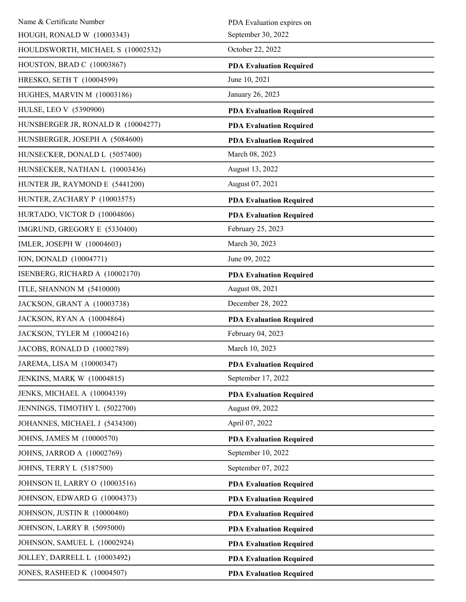| Name & Certificate Number          | PDA Evaluation expires on      |
|------------------------------------|--------------------------------|
| HOUGH, RONALD W (10003343)         | September 30, 2022             |
| HOULDSWORTH, MICHAEL S (10002532)  | October 22, 2022               |
| HOUSTON, BRAD C (10003867)         | <b>PDA Evaluation Required</b> |
| HRESKO, SETH T (10004599)          | June 10, 2021                  |
| HUGHES, MARVIN M (10003186)        | January 26, 2023               |
| HULSE, LEO V (5390900)             | <b>PDA Evaluation Required</b> |
| HUNSBERGER JR, RONALD R (10004277) | <b>PDA Evaluation Required</b> |
| HUNSBERGER, JOSEPH A (5084600)     | <b>PDA Evaluation Required</b> |
| HUNSECKER, DONALD L (5057400)      | March 08, 2023                 |
| HUNSECKER, NATHAN L (10003436)     | August 13, 2022                |
| HUNTER JR, RAYMOND E (5441200)     | August 07, 2021                |
| HUNTER, ZACHARY P (10003575)       | <b>PDA Evaluation Required</b> |
| HURTADO, VICTOR D (10004806)       | <b>PDA Evaluation Required</b> |
| IMGRUND, GREGORY E (5330400)       | February 25, 2023              |
| IMLER, JOSEPH W (10004603)         | March 30, 2023                 |
| ION, DONALD (10004771)             | June 09, 2022                  |
| ISENBERG, RICHARD A (10002170)     | <b>PDA Evaluation Required</b> |
| ITLE, SHANNON M (5410000)          | August 08, 2021                |
| JACKSON, GRANT A (10003738)        | December 28, 2022              |
| JACKSON, RYAN A (10004864)         | <b>PDA Evaluation Required</b> |
| JACKSON, TYLER M (10004216)        | February 04, 2023              |
| JACOBS, RONALD D (10002789)        | March 10, 2023                 |
| JAREMA, LISA M (10000347)          | <b>PDA Evaluation Required</b> |
| <b>JENKINS, MARK W (10004815)</b>  | September 17, 2022             |
| JENKS, MICHAEL A (10004339)        | <b>PDA Evaluation Required</b> |
| JENNINGS, TIMOTHY L (5022700)      | August 09, 2022                |
| JOHANNES, MICHAEL J (5434300)      | April 07, 2022                 |
| JOHNS, JAMES M (10000570)          | <b>PDA Evaluation Required</b> |
| JOHNS, JARROD A (10002769)         | September 10, 2022             |
| JOHNS, TERRY L (5187500)           | September 07, 2022             |
| JOHNSON II, LARRY O (10003516)     | <b>PDA Evaluation Required</b> |
| JOHNSON, EDWARD G (10004373)       | <b>PDA Evaluation Required</b> |
| JOHNSON, JUSTIN R (10000480)       | <b>PDA Evaluation Required</b> |
| JOHNSON, LARRY R (5095000)         | <b>PDA Evaluation Required</b> |
| JOHNSON, SAMUEL L (10002924)       | <b>PDA Evaluation Required</b> |
| JOLLEY, DARRELL L (10003492)       | <b>PDA Evaluation Required</b> |
| <b>JONES, RASHEED K (10004507)</b> | <b>PDA Evaluation Required</b> |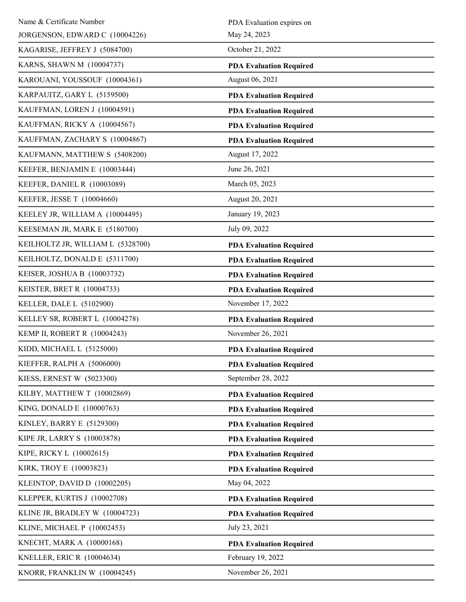| Name & Certificate Number         | PDA Evaluation expires on      |
|-----------------------------------|--------------------------------|
| JORGENSON, EDWARD C (10004226)    | May 24, 2023                   |
| KAGARISE, JEFFREY J (5084700)     | October 21, 2022               |
| KARNS, SHAWN M (10004737)         | <b>PDA Evaluation Required</b> |
| KAROUANI, YOUSSOUF (10004361)     | August 06, 2021                |
| KARPAUITZ, GARY L (5159500)       | <b>PDA Evaluation Required</b> |
| KAUFFMAN, LOREN J (10004591)      | <b>PDA Evaluation Required</b> |
| KAUFFMAN, RICKY A (10004567)      | <b>PDA Evaluation Required</b> |
| KAUFFMAN, ZACHARY S (10004867)    | <b>PDA Evaluation Required</b> |
| KAUFMANN, MATTHEW S (5408200)     | August 17, 2022                |
| KEEFER, BENJAMIN E (10003444)     | June 26, 2021                  |
| KEEFER, DANIEL R (10003089)       | March 05, 2023                 |
| KEEFER, JESSE T (10004660)        | August 20, 2021                |
| KEELEY JR, WILLIAM A (10004495)   | January 19, 2023               |
| KEESEMAN JR, MARK E (5180700)     | July 09, 2022                  |
| KEILHOLTZ JR, WILLIAM L (5328700) | <b>PDA Evaluation Required</b> |
| KEILHOLTZ, DONALD E (5311700)     | <b>PDA Evaluation Required</b> |
| KEISER, JOSHUA B (10003732)       | <b>PDA Evaluation Required</b> |
| KEISTER, BRET R (10004733)        | <b>PDA Evaluation Required</b> |
| KELLER, DALE L (5102900)          | November 17, 2022              |
| KELLEY SR, ROBERT L (10004278)    | <b>PDA Evaluation Required</b> |
| KEMP II, ROBERT R (10004243)      | November 26, 2021              |
| KIDD, MICHAEL L (5125000)         | <b>PDA Evaluation Required</b> |
| KIEFFER, RALPH A (5006000)        | <b>PDA Evaluation Required</b> |
| KIESS, ERNEST W (5023300)         | September 28, 2022             |
| KILBY, MATTHEW T (10002869)       | <b>PDA Evaluation Required</b> |
| KING, DONALD E (10000763)         | <b>PDA Evaluation Required</b> |
| KINLEY, BARRY E (5129300)         | <b>PDA Evaluation Required</b> |
| KIPE JR, LARRY S (10003878)       | <b>PDA Evaluation Required</b> |
| KIPE, RICKY L (10002615)          | <b>PDA Evaluation Required</b> |
| KIRK, TROY E (10003823)           | <b>PDA Evaluation Required</b> |
| KLEINTOP, DAVID D (10002205)      | May 04, 2022                   |
| KLEPPER, KURTIS J (10002708)      | <b>PDA Evaluation Required</b> |
| KLINE JR, BRADLEY W (10004723)    | <b>PDA Evaluation Required</b> |
| KLINE, MICHAEL P (10002453)       | July 23, 2021                  |
| KNECHT, MARK A (10000168)         | <b>PDA Evaluation Required</b> |
| KNELLER, ERIC R (10004634)        | February 19, 2022              |
| KNORR, FRANKLIN W (10004245)      | November 26, 2021              |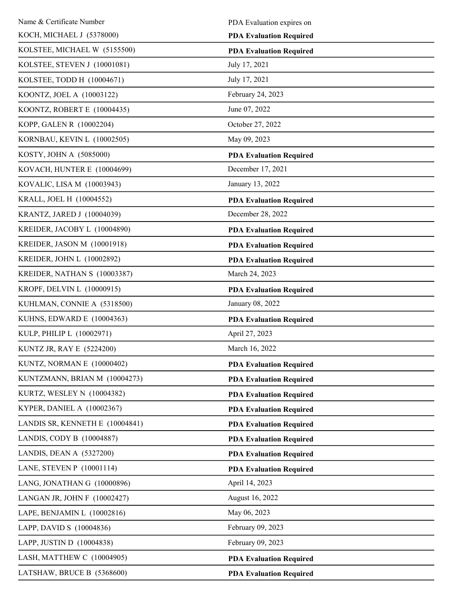| Name & Certificate Number       | PDA Evaluation expires on      |
|---------------------------------|--------------------------------|
| KOCH, MICHAEL J (5378000)       | <b>PDA Evaluation Required</b> |
| KOLSTEE, MICHAEL W (5155500)    | <b>PDA Evaluation Required</b> |
| KOLSTEE, STEVEN J (10001081)    | July 17, 2021                  |
| KOLSTEE, TODD H (10004671)      | July 17, 2021                  |
| KOONTZ, JOEL A (10003122)       | February 24, 2023              |
| KOONTZ, ROBERT E (10004435)     | June 07, 2022                  |
| KOPP, GALEN R (10002204)        | October 27, 2022               |
| KORNBAU, KEVIN L (10002505)     | May 09, 2023                   |
| KOSTY, JOHN A (5085000)         | <b>PDA Evaluation Required</b> |
| KOVACH, HUNTER E (10004699)     | December 17, 2021              |
| KOVALIC, LISA M (10003943)      | January 13, 2022               |
| KRALL, JOEL H (10004552)        | <b>PDA Evaluation Required</b> |
| KRANTZ, JARED J (10004039)      | December 28, 2022              |
| KREIDER, JACOBY L (10004890)    | <b>PDA Evaluation Required</b> |
| KREIDER, JASON M (10001918)     | <b>PDA Evaluation Required</b> |
| KREIDER, JOHN L (10002892)      | <b>PDA Evaluation Required</b> |
| KREIDER, NATHAN S (10003387)    | March 24, 2023                 |
| KROPF, DELVIN L (10000915)      | <b>PDA Evaluation Required</b> |
| KUHLMAN, CONNIE A (5318500)     | January 08, 2022               |
| KUHNS, EDWARD E (10004363)      | <b>PDA Evaluation Required</b> |
| KULP, PHILIP L (10002971)       | April 27, 2023                 |
| KUNTZ JR, RAY E (5224200)       | March 16, 2022                 |
| KUNTZ, NORMAN E (10000402)      | <b>PDA Evaluation Required</b> |
| KUNTZMANN, BRIAN M (10004273)   | <b>PDA Evaluation Required</b> |
| KURTZ, WESLEY N (10004382)      | <b>PDA Evaluation Required</b> |
| KYPER, DANIEL A (10002367)      | <b>PDA Evaluation Required</b> |
| LANDIS SR, KENNETH E (10004841) | <b>PDA Evaluation Required</b> |
| LANDIS, CODY B (10004887)       | <b>PDA Evaluation Required</b> |
| LANDIS, DEAN A (5327200)        | <b>PDA Evaluation Required</b> |
| LANE, STEVEN P (10001114)       | <b>PDA Evaluation Required</b> |
| LANG, JONATHAN G (10000896)     | April 14, 2023                 |
| LANGAN JR, JOHN F (10002427)    | August 16, 2022                |
| LAPE, BENJAMIN L (10002816)     | May 06, 2023                   |
| LAPP, DAVID S (10004836)        | February 09, 2023              |
| LAPP, JUSTIN D (10004838)       | February 09, 2023              |
| LASH, MATTHEW C (10004905)      | <b>PDA Evaluation Required</b> |
| LATSHAW, BRUCE B (5368600)      | <b>PDA Evaluation Required</b> |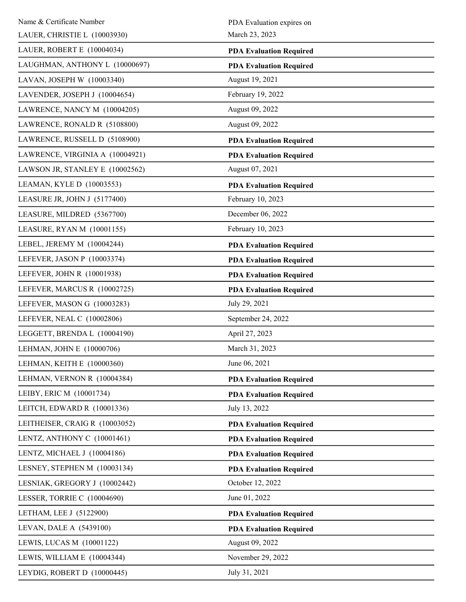| Name & Certificate Number       | PDA Evaluation expires on      |
|---------------------------------|--------------------------------|
| LAUER, CHRISTIE L (10003930)    | March 23, 2023                 |
| LAUER, ROBERT E (10004034)      | <b>PDA Evaluation Required</b> |
| LAUGHMAN, ANTHONY L (10000697)  | <b>PDA Evaluation Required</b> |
| LAVAN, JOSEPH W (10003340)      | August 19, 2021                |
| LAVENDER, JOSEPH J (10004654)   | February 19, 2022              |
| LAWRENCE, NANCY M (10004205)    | August 09, 2022                |
| LAWRENCE, RONALD R (5108800)    | August 09, 2022                |
| LAWRENCE, RUSSELL D (5108900)   | <b>PDA Evaluation Required</b> |
| LAWRENCE, VIRGINIA A (10004921) | <b>PDA Evaluation Required</b> |
| LAWSON JR, STANLEY E (10002562) | August 07, 2021                |
| LEAMAN, KYLE D (10003553)       | <b>PDA Evaluation Required</b> |
| LEASURE JR, JOHN J (5177400)    | February 10, 2023              |
| LEASURE, MILDRED (5367700)      | December 06, 2022              |
| LEASURE, RYAN M (10001155)      | February 10, 2023              |
| LEBEL, JEREMY M (10004244)      | <b>PDA Evaluation Required</b> |
| LEFEVER, JASON P (10003374)     | <b>PDA Evaluation Required</b> |
| LEFEVER, JOHN R (10001938)      | <b>PDA Evaluation Required</b> |
| LEFEVER, MARCUS R (10002725)    | <b>PDA Evaluation Required</b> |
| LEFEVER, MASON G (10003283)     | July 29, 2021                  |
| LEFEVER, NEAL C (10002806)      | September 24, 2022             |
| LEGGETT, BRENDA L (10004190)    | April 27, 2023                 |
| LEHMAN, JOHN E (10000706)       | March 31, 2023                 |
| LEHMAN, KEITH E (10000360)      | June 06, 2021                  |
| LEHMAN, VERNON R (10004384)     | <b>PDA Evaluation Required</b> |
| LEIBY, ERIC M (10001734)        | <b>PDA Evaluation Required</b> |
| LEITCH, EDWARD R (10001336)     | July 13, 2022                  |
| LEITHEISER, CRAIG R (10003052)  | <b>PDA Evaluation Required</b> |
| LENTZ, ANTHONY C (10001461)     | <b>PDA Evaluation Required</b> |
| LENTZ, MICHAEL J (10004186)     | <b>PDA Evaluation Required</b> |
| LESNEY, STEPHEN M (10003134)    | <b>PDA Evaluation Required</b> |
| LESNIAK, GREGORY J (10002442)   | October 12, 2022               |
| LESSER, TORRIE C (10004690)     | June 01, 2022                  |
| LETHAM, LEE J (5122900)         | <b>PDA Evaluation Required</b> |
| LEVAN, DALE A (5439100)         | <b>PDA Evaluation Required</b> |
| LEWIS, LUCAS M (10001122)       | August 09, 2022                |
| LEWIS, WILLIAM E (10004344)     | November 29, 2022              |
| LEYDIG, ROBERT D (10000445)     | July 31, 2021                  |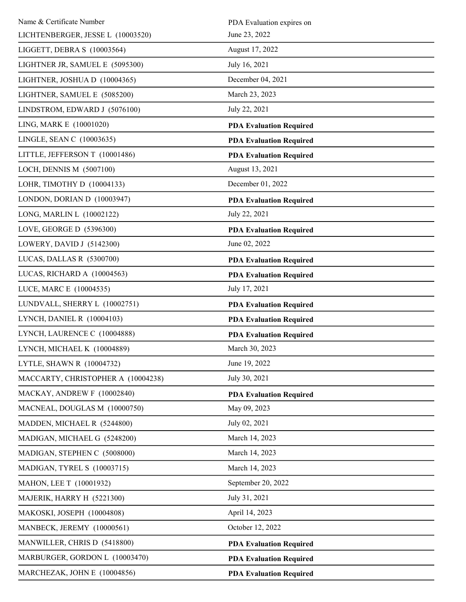| Name & Certificate Number          | PDA Evaluation expires on      |
|------------------------------------|--------------------------------|
| LICHTENBERGER, JESSE L (10003520)  | June 23, 2022                  |
| LIGGETT, DEBRA S (10003564)        | August 17, 2022                |
| LIGHTNER JR, SAMUEL E (5095300)    | July 16, 2021                  |
| LIGHTNER, JOSHUA D (10004365)      | December 04, 2021              |
| LIGHTNER, SAMUEL E (5085200)       | March 23, 2023                 |
| LINDSTROM, EDWARD J (5076100)      | July 22, 2021                  |
| LING, MARK E (10001020)            | <b>PDA Evaluation Required</b> |
| LINGLE, SEAN C (10003635)          | <b>PDA Evaluation Required</b> |
| LITTLE, JEFFERSON T (10001486)     | <b>PDA Evaluation Required</b> |
| LOCH, DENNIS M (5007100)           | August 13, 2021                |
| LOHR, TIMOTHY D (10004133)         | December 01, 2022              |
| LONDON, DORIAN D (10003947)        | <b>PDA Evaluation Required</b> |
| LONG, MARLIN L (10002122)          | July 22, 2021                  |
| LOVE, GEORGE D (5396300)           | <b>PDA Evaluation Required</b> |
| LOWERY, DAVID J (5142300)          | June 02, 2022                  |
| LUCAS, DALLAS R (5300700)          | <b>PDA Evaluation Required</b> |
| LUCAS, RICHARD A (10004563)        | <b>PDA Evaluation Required</b> |
| LUCE, MARC E (10004535)            | July 17, 2021                  |
|                                    |                                |
| LUNDVALL, SHERRY L (10002751)      | <b>PDA Evaluation Required</b> |
| LYNCH, DANIEL R (10004103)         | <b>PDA Evaluation Required</b> |
| LYNCH, LAURENCE C (10004888)       | <b>PDA Evaluation Required</b> |
| LYNCH, MICHAEL K (10004889)        | March 30, 2023                 |
| LYTLE, SHAWN R (10004732)          | June 19, 2022                  |
| MACCARTY, CHRISTOPHER A (10004238) | July 30, 2021                  |
| MACKAY, ANDREW F (10002840)        | <b>PDA Evaluation Required</b> |
| MACNEAL, DOUGLAS M (10000750)      | May 09, 2023                   |
| MADDEN, MICHAEL R (5244800)        | July 02, 2021                  |
| MADIGAN, MICHAEL G (5248200)       | March 14, 2023                 |
| MADIGAN, STEPHEN C (5008000)       | March 14, 2023                 |
| MADIGAN, TYREL S (10003715)        | March 14, 2023                 |
| MAHON, LEE T (10001932)            | September 20, 2022             |
| MAJERIK, HARRY H (5221300)         | July 31, 2021                  |
| MAKOSKI, JOSEPH (10004808)         | April 14, 2023                 |
| MANBECK, JEREMY (10000561)         | October 12, 2022               |
| MANWILLER, CHRIS D (5418800)       | <b>PDA Evaluation Required</b> |
| MARBURGER, GORDON L (10003470)     | <b>PDA Evaluation Required</b> |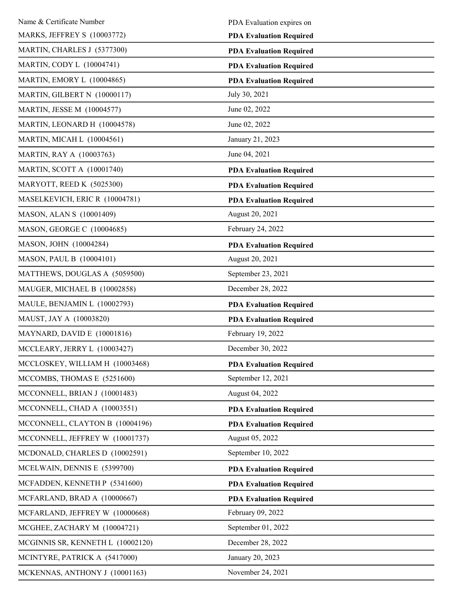| Name & Certificate Number         | PDA Evaluation expires on      |
|-----------------------------------|--------------------------------|
| MARKS, JEFFREY S (10003772)       | <b>PDA Evaluation Required</b> |
| MARTIN, CHARLES J (5377300)       | <b>PDA Evaluation Required</b> |
| MARTIN, CODY L (10004741)         | <b>PDA Evaluation Required</b> |
| MARTIN, EMORY L (10004865)        | <b>PDA Evaluation Required</b> |
| MARTIN, GILBERT N (10000117)      | July 30, 2021                  |
| <b>MARTIN, JESSE M (10004577)</b> | June 02, 2022                  |
| MARTIN, LEONARD H (10004578)      | June 02, 2022                  |
| MARTIN, MICAH L (10004561)        | January 21, 2023               |
| MARTIN, RAY A (10003763)          | June 04, 2021                  |
| MARTIN, SCOTT A (10001740)        | <b>PDA Evaluation Required</b> |
| MARYOTT, REED K (5025300)         | <b>PDA Evaluation Required</b> |
| MASELKEVICH, ERIC R (10004781)    | <b>PDA Evaluation Required</b> |
| MASON, ALAN S (10001409)          | August 20, 2021                |
| MASON, GEORGE C (10004685)        | February 24, 2022              |
| MASON, JOHN (10004284)            | <b>PDA Evaluation Required</b> |
| MASON, PAUL B (10004101)          | August 20, 2021                |
| MATTHEWS, DOUGLAS A (5059500)     | September 23, 2021             |
| MAUGER, MICHAEL B (10002858)      | December 28, 2022              |
|                                   |                                |
| MAULE, BENJAMIN L (10002793)      | <b>PDA Evaluation Required</b> |
| MAUST, JAY A (10003820)           | <b>PDA Evaluation Required</b> |
| MAYNARD, DAVID E (10001816)       | February 19, 2022              |
| MCCLEARY, JERRY L (10003427)      | December 30, 2022              |
| MCCLOSKEY, WILLIAM H (10003468)   | <b>PDA Evaluation Required</b> |
| MCCOMBS, THOMAS E (5251600)       | September 12, 2021             |
| MCCONNELL, BRIAN J (10001483)     | August 04, 2022                |
| MCCONNELL, CHAD A (10003551)      | <b>PDA Evaluation Required</b> |
| MCCONNELL, CLAYTON B (10004196)   | <b>PDA Evaluation Required</b> |
| MCCONNELL, JEFFREY W (10001737)   | August 05, 2022                |
| MCDONALD, CHARLES D (10002591)    | September 10, 2022             |
| MCELWAIN, DENNIS E (5399700)      | <b>PDA Evaluation Required</b> |
| MCFADDEN, KENNETH P (5341600)     | <b>PDA Evaluation Required</b> |
| MCFARLAND, BRAD A (10000667)      | <b>PDA Evaluation Required</b> |
| MCFARLAND, JEFFREY W (10000668)   | February 09, 2022              |
| MCGHEE, ZACHARY M (10004721)      | September 01, 2022             |
| MCGINNIS SR, KENNETH L (10002120) | December 28, 2022              |
| MCINTYRE, PATRICK A (5417000)     | January 20, 2023               |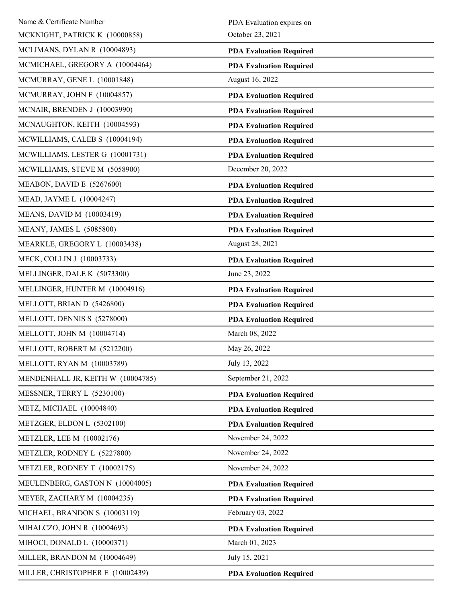| Name & Certificate Number         | PDA Evaluation expires on      |
|-----------------------------------|--------------------------------|
| MCKNIGHT, PATRICK K (10000858)    | October 23, 2021               |
| MCLIMANS, DYLAN R (10004893)      | <b>PDA Evaluation Required</b> |
| MCMICHAEL, GREGORY A (10004464)   | <b>PDA Evaluation Required</b> |
| MCMURRAY, GENE L (10001848)       | August 16, 2022                |
| MCMURRAY, JOHN F (10004857)       | <b>PDA Evaluation Required</b> |
| MCNAIR, BRENDEN J (10003990)      | <b>PDA Evaluation Required</b> |
| MCNAUGHTON, KEITH (10004593)      | <b>PDA Evaluation Required</b> |
| MCWILLIAMS, CALEB S (10004194)    | <b>PDA Evaluation Required</b> |
| MCWILLIAMS, LESTER G (10001731)   | <b>PDA Evaluation Required</b> |
| MCWILLIAMS, STEVE M (5058900)     | December 20, 2022              |
| MEABON, DAVID E (5267600)         | <b>PDA Evaluation Required</b> |
| MEAD, JAYME L (10004247)          | <b>PDA Evaluation Required</b> |
| MEANS, DAVID M (10003419)         | <b>PDA Evaluation Required</b> |
| MEANY, JAMES L (5085800)          | <b>PDA Evaluation Required</b> |
| MEARKLE, GREGORY L (10003438)     | August 28, 2021                |
| MECK, COLLIN J (10003733)         | <b>PDA Evaluation Required</b> |
| MELLINGER, DALE K (5073300)       | June 23, 2022                  |
| MELLINGER, HUNTER M (10004916)    | <b>PDA Evaluation Required</b> |
|                                   |                                |
| MELLOTT, BRIAN D (5426800)        | <b>PDA Evaluation Required</b> |
| MELLOTT, DENNIS S (5278000)       | <b>PDA Evaluation Required</b> |
| MELLOTT, JOHN M (10004714)        | March 08, 2022                 |
| MELLOTT, ROBERT M (5212200)       | May 26, 2022                   |
| MELLOTT, RYAN M (10003789)        | July 13, 2022                  |
| MENDENHALL JR, KEITH W (10004785) | September 21, 2022             |
| MESSNER, TERRY L (5230100)        | <b>PDA Evaluation Required</b> |
| METZ, MICHAEL (10004840)          | <b>PDA Evaluation Required</b> |
| METZGER, ELDON L (5302100)        | <b>PDA Evaluation Required</b> |
| METZLER, LEE M (10002176)         | November 24, 2022              |
| METZLER, RODNEY L (5227800)       | November 24, 2022              |
| METZLER, RODNEY T (10002175)      | November 24, 2022              |
| MEULENBERG, GASTON N (10004005)   | <b>PDA Evaluation Required</b> |
| MEYER, ZACHARY M (10004235)       | <b>PDA Evaluation Required</b> |
| MICHAEL, BRANDON S (10003119)     | February 03, 2022              |
| MIHALCZO, JOHN R (10004693)       | <b>PDA Evaluation Required</b> |
| MIHOCI, DONALD L (10000371)       | March 01, 2023                 |
| MILLER, BRANDON M (10004649)      | July 15, 2021                  |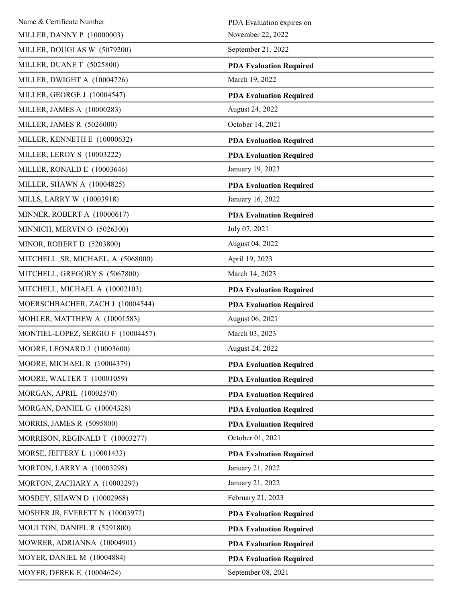| Name & Certificate Number          | PDA Evaluation expires on      |
|------------------------------------|--------------------------------|
| MILLER, DANNY P (10000003)         | November 22, 2022              |
| MILLER, DOUGLAS W (5079200)        | September 21, 2022             |
| MILLER, DUANE T (5025800)          | <b>PDA Evaluation Required</b> |
| MILLER, DWIGHT A (10004726)        | March 19, 2022                 |
| MILLER, GEORGE J (10004547)        | <b>PDA Evaluation Required</b> |
| MILLER, JAMES A (10000283)         | August 24, 2022                |
| MILLER, JAMES R (5026000)          | October 14, 2021               |
| MILLER, KENNETH E (10000632)       | <b>PDA Evaluation Required</b> |
| MILLER, LEROY S (10003222)         | <b>PDA Evaluation Required</b> |
| MILLER, RONALD E (10003646)        | January 19, 2023               |
| MILLER, SHAWN A (10004825)         | <b>PDA Evaluation Required</b> |
| MILLS, LARRY W (10003918)          | January 16, 2022               |
| MINNER, ROBERT A (10000617)        | <b>PDA Evaluation Required</b> |
| MINNICH, MERVIN O (5026300)        | July 07, 2021                  |
| MINOR, ROBERT D (5203800)          | August 04, 2022                |
| MITCHELL SR, MICHAEL, A (5068000)  | April 19, 2023                 |
| MITCHELL, GREGORY S (5067800)      | March 14, 2023                 |
| MITCHELL, MICHAEL A (10002103)     | <b>PDA Evaluation Required</b> |
| MOERSCHBACHER, ZACH J (10004544)   | <b>PDA Evaluation Required</b> |
| MOHLER, MATTHEW A (10001583)       | August 06, 2021                |
| MONTIEL-LOPEZ, SERGIO F (10004457) | March 03, 2023                 |
| MOORE, LEONARD J (10003600)        | August 24, 2022                |
| MOORE, MICHAEL R (10004379)        | <b>PDA Evaluation Required</b> |
| MOORE, WALTER T (10001059)         | <b>PDA Evaluation Required</b> |
| MORGAN, APRIL (10002570)           | <b>PDA Evaluation Required</b> |
| MORGAN, DANIEL G (10004328)        | <b>PDA Evaluation Required</b> |
| MORRIS, JAMES R (5095800)          | <b>PDA Evaluation Required</b> |
| MORRISON, REGINALD T (10003277)    | October 01, 2021               |
| MORSE, JEFFERY L (10001433)        | <b>PDA Evaluation Required</b> |
| <b>MORTON, LARRY A (10003298)</b>  | January 21, 2022               |
| MORTON, ZACHARY A (10003297)       | January 21, 2022               |
| MOSBEY, SHAWN D (10002968)         | February 21, 2023              |
| MOSHER JR, EVERETT N (10003972)    | <b>PDA Evaluation Required</b> |
| MOULTON, DANIEL R (5291800)        | <b>PDA Evaluation Required</b> |
| MOWRER, ADRIANNA (10004901)        | <b>PDA Evaluation Required</b> |
| MOYER, DANIEL M (10004884)         | <b>PDA Evaluation Required</b> |
| MOYER, DEREK E (10004624)          | September 08, 2021             |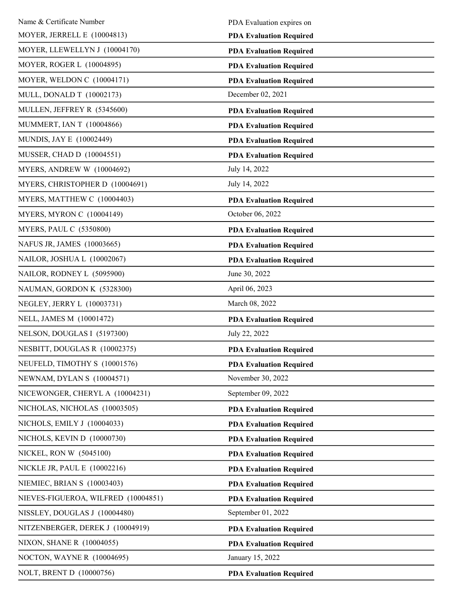| Name & Certificate Number           | PDA Evaluation expires on      |
|-------------------------------------|--------------------------------|
| MOYER, JERRELL E (10004813)         | <b>PDA Evaluation Required</b> |
| MOYER, LLEWELLYN J (10004170)       | <b>PDA Evaluation Required</b> |
| MOYER, ROGER L (10004895)           | <b>PDA Evaluation Required</b> |
| MOYER, WELDON C (10004171)          | <b>PDA Evaluation Required</b> |
| MULL, DONALD T (10002173)           | December 02, 2021              |
| MULLEN, JEFFREY R (5345600)         | <b>PDA Evaluation Required</b> |
| MUMMERT, IAN T (10004866)           | <b>PDA Evaluation Required</b> |
| MUNDIS, JAY E (10002449)            | <b>PDA Evaluation Required</b> |
| MUSSER, CHAD D (10004551)           | <b>PDA Evaluation Required</b> |
| MYERS, ANDREW W (10004692)          | July 14, 2022                  |
| MYERS, CHRISTOPHER D (10004691)     | July 14, 2022                  |
| MYERS, MATTHEW C (10004403)         | <b>PDA Evaluation Required</b> |
| MYERS, MYRON C (10004149)           | October 06, 2022               |
| MYERS, PAUL C (5350800)             | <b>PDA Evaluation Required</b> |
| NAFUS JR, JAMES (10003665)          | <b>PDA Evaluation Required</b> |
| NAILOR, JOSHUA L (10002067)         | <b>PDA Evaluation Required</b> |
| NAILOR, RODNEY L (5095900)          | June 30, 2022                  |
| NAUMAN, GORDON K (5328300)          | April 06, 2023                 |
| NEGLEY, JERRY L (10003731)          | March 08, 2022                 |
| NELL, JAMES M (10001472)            | <b>PDA Evaluation Required</b> |
| NELSON, DOUGLAS I (5197300)         | July 22, 2022                  |
| NESBITT, DOUGLAS R (10002375)       | <b>PDA Evaluation Required</b> |
|                                     |                                |
| NEUFELD, TIMOTHY S (10001576)       | <b>PDA Evaluation Required</b> |
| NEWNAM, DYLAN S (10004571)          | November 30, 2022              |
| NICEWONGER, CHERYL A (10004231)     | September 09, 2022             |
| NICHOLAS, NICHOLAS (10003505)       | <b>PDA Evaluation Required</b> |
| NICHOLS, EMILY J (10004033)         | <b>PDA Evaluation Required</b> |
| NICHOLS, KEVIN D (10000730)         | <b>PDA Evaluation Required</b> |
| NICKEL, RON W (5045100)             | <b>PDA Evaluation Required</b> |
| NICKLE JR, PAUL E (10002216)        | <b>PDA Evaluation Required</b> |
| NIEMIEC, BRIAN S (10003403)         | <b>PDA Evaluation Required</b> |
| NIEVES-FIGUEROA, WILFRED (10004851) | <b>PDA Evaluation Required</b> |
| NISSLEY, DOUGLAS J (10004480)       | September 01, 2022             |
| NITZENBERGER, DEREK J (10004919)    | <b>PDA Evaluation Required</b> |
| NIXON, SHANE R (10004055)           | <b>PDA Evaluation Required</b> |
| NOCTON, WAYNE R (10004695)          | January 15, 2022               |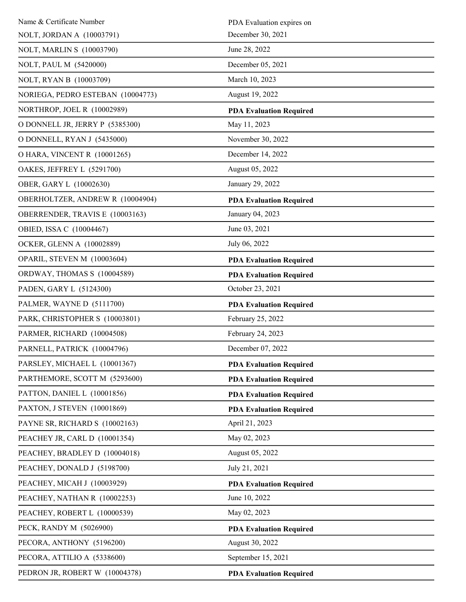| Name & Certificate Number           | PDA Evaluation expires on      |
|-------------------------------------|--------------------------------|
| NOLT, JORDAN A (10003791)           | December 30, 2021              |
| <b>NOLT, MARLIN S (10003790)</b>    | June 28, 2022                  |
| NOLT, PAUL M (5420000)              | December 05, 2021              |
| NOLT, RYAN B (10003709)             | March 10, 2023                 |
| NORIEGA, PEDRO ESTEBAN (10004773)   | August 19, 2022                |
| NORTHROP, JOEL R (10002989)         | <b>PDA Evaluation Required</b> |
| O DONNELL JR, JERRY P (5385300)     | May 11, 2023                   |
| O DONNELL, RYAN J (5435000)         | November 30, 2022              |
| <b>O HARA, VINCENT R (10001265)</b> | December 14, 2022              |
| OAKES, JEFFREY L (5291700)          | August 05, 2022                |
| OBER, GARY L (10002630)             | January 29, 2022               |
| OBERHOLTZER, ANDREW R (10004904)    | <b>PDA Evaluation Required</b> |
| OBERRENDER, TRAVIS E (10003163)     | January 04, 2023               |
| OBIED, ISSA C (10004467)            | June 03, 2021                  |
| OCKER, GLENN A (10002889)           | July 06, 2022                  |
| OPARIL, STEVEN M (10003604)         | <b>PDA Evaluation Required</b> |
| ORDWAY, THOMAS S (10004589)         | <b>PDA Evaluation Required</b> |
| PADEN, GARY L (5124300)             | October 23, 2021               |
| PALMER, WAYNE D (5111700)           | <b>PDA Evaluation Required</b> |
|                                     |                                |
| PARK, CHRISTOPHER S (10003801)      | February 25, 2022              |
| PARMER, RICHARD (10004508)          | February 24, 2023              |
| PARNELL, PATRICK (10004796)         | December 07, 2022              |
| PARSLEY, MICHAEL L (10001367)       | <b>PDA Evaluation Required</b> |
| PARTHEMORE, SCOTT M (5293600)       | <b>PDA Evaluation Required</b> |
| PATTON, DANIEL L (10001856)         | <b>PDA Evaluation Required</b> |
| PAXTON, J STEVEN (10001869)         | <b>PDA Evaluation Required</b> |
| PAYNE SR, RICHARD S (10002163)      | April 21, 2023                 |
| PEACHEY JR, CARL D (10001354)       | May 02, 2023                   |
| PEACHEY, BRADLEY D (10004018)       | August 05, 2022                |
| PEACHEY, DONALD J (5198700)         | July 21, 2021                  |
| PEACHEY, MICAH J (10003929)         | <b>PDA Evaluation Required</b> |
| PEACHEY, NATHAN R (10002253)        | June 10, 2022                  |
| PEACHEY, ROBERT L (10000539)        | May 02, 2023                   |
| PECK, RANDY M (5026900)             | <b>PDA Evaluation Required</b> |
| PECORA, ANTHONY (5196200)           | August 30, 2022                |
| PECORA, ATTILIO A (5338600)         | September 15, 2021             |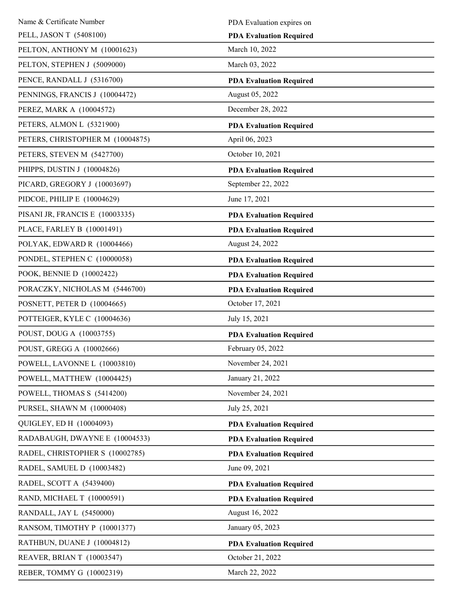| Name & Certificate Number        | PDA Evaluation expires on      |
|----------------------------------|--------------------------------|
| PELL, JASON T (5408100)          | <b>PDA Evaluation Required</b> |
| PELTON, ANTHONY M (10001623)     | March 10, 2022                 |
| PELTON, STEPHEN J (5009000)      | March 03, 2022                 |
| PENCE, RANDALL J (5316700)       | <b>PDA Evaluation Required</b> |
| PENNINGS, FRANCIS J (10004472)   | August 05, 2022                |
| PEREZ, MARK A (10004572)         | December 28, 2022              |
| PETERS, ALMON L (5321900)        | <b>PDA Evaluation Required</b> |
| PETERS, CHRISTOPHER M (10004875) | April 06, 2023                 |
| PETERS, STEVEN M (5427700)       | October 10, 2021               |
| PHIPPS, DUSTIN J (10004826)      | <b>PDA Evaluation Required</b> |
| PICARD, GREGORY J (10003697)     | September 22, 2022             |
| PIDCOE, PHILIP E (10004629)      | June 17, 2021                  |
| PISANI JR, FRANCIS E (10003335)  | <b>PDA Evaluation Required</b> |
| PLACE, FARLEY B (10001491)       | <b>PDA Evaluation Required</b> |
| POLYAK, EDWARD R (10004466)      | August 24, 2022                |
| PONDEL, STEPHEN C (10000058)     | <b>PDA Evaluation Required</b> |
| POOK, BENNIE D (10002422)        | <b>PDA Evaluation Required</b> |
| PORACZKY, NICHOLAS M (5446700)   | <b>PDA Evaluation Required</b> |
| POSNETT, PETER D (10004665)      | October 17, 2021               |
| POTTEIGER, KYLE C (10004636)     | July 15, 2021                  |
| POUST, DOUG A (10003755)         | <b>PDA Evaluation Required</b> |
| POUST, GREGG A (10002666)        | February 05, 2022              |
| POWELL, LAVONNE L (10003810)     | November 24, 2021              |
| POWELL, MATTHEW (10004425)       | January 21, 2022               |
| POWELL, THOMAS S (5414200)       | November 24, 2021              |
| PURSEL, SHAWN M (10000408)       | July 25, 2021                  |
| QUIGLEY, ED H (10004093)         | <b>PDA Evaluation Required</b> |
| RADABAUGH, DWAYNE E (10004533)   | <b>PDA Evaluation Required</b> |
| RADEL, CHRISTOPHER S (10002785)  | <b>PDA Evaluation Required</b> |
| RADEL, SAMUEL D (10003482)       | June 09, 2021                  |
| RADEL, SCOTT A (5439400)         | <b>PDA Evaluation Required</b> |
| RAND, MICHAEL T (10000591)       | <b>PDA Evaluation Required</b> |
| RANDALL, JAY L (5450000)         | August 16, 2022                |
| RANSOM, TIMOTHY P (10001377)     | January 05, 2023               |
| RATHBUN, DUANE J (10004812)      | <b>PDA Evaluation Required</b> |
| REAVER, BRIAN T (10003547)       | October 21, 2022               |
| REBER, TOMMY G (10002319)        | March 22, 2022                 |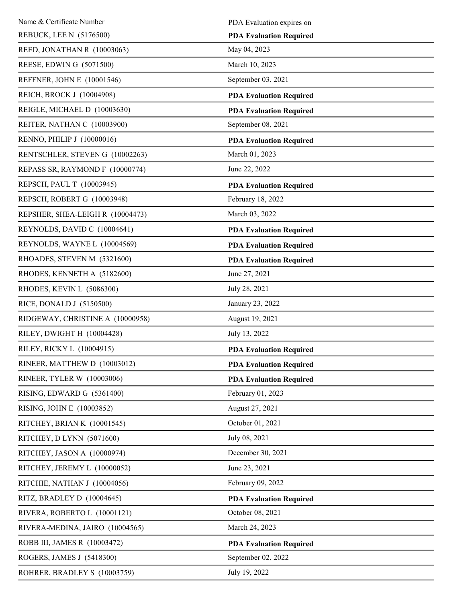| Name & Certificate Number        | PDA Evaluation expires on      |
|----------------------------------|--------------------------------|
| <b>REBUCK, LEE N (5176500)</b>   | <b>PDA Evaluation Required</b> |
| REED, JONATHAN R (10003063)      | May 04, 2023                   |
| REESE, EDWIN G (5071500)         | March 10, 2023                 |
| REFFNER, JOHN E (10001546)       | September 03, 2021             |
| REICH, BROCK J (10004908)        | <b>PDA Evaluation Required</b> |
| REIGLE, MICHAEL D (10003630)     | <b>PDA Evaluation Required</b> |
| REITER, NATHAN C (10003900)      | September 08, 2021             |
| RENNO, PHILIP J (10000016)       | <b>PDA Evaluation Required</b> |
| RENTSCHLER, STEVEN G (10002263)  | March 01, 2023                 |
| REPASS SR, RAYMOND F (10000774)  | June 22, 2022                  |
| REPSCH, PAUL T (10003945)        | <b>PDA Evaluation Required</b> |
| REPSCH, ROBERT G (10003948)      | February 18, 2022              |
| REPSHER, SHEA-LEIGH R (10004473) | March 03, 2022                 |
| REYNOLDS, DAVID C (10004641)     | <b>PDA Evaluation Required</b> |
| REYNOLDS, WAYNE L (10004569)     | <b>PDA Evaluation Required</b> |
| RHOADES, STEVEN M (5321600)      | <b>PDA Evaluation Required</b> |
| RHODES, KENNETH A (5182600)      | June 27, 2021                  |
| RHODES, KEVIN L (5086300)        | July 28, 2021                  |
| RICE, DONALD J (5150500)         | January 23, 2022               |
| RIDGEWAY, CHRISTINE A (10000958) | August 19, 2021                |
| RILEY, DWIGHT H (10004428)       | July 13, 2022                  |
| RILEY, RICKY L (10004915)        | <b>PDA Evaluation Required</b> |
| RINEER, MATTHEW D (10003012)     | <b>PDA Evaluation Required</b> |
| RINEER, TYLER W (10003006)       | <b>PDA Evaluation Required</b> |
| RISING, EDWARD G (5361400)       | February 01, 2023              |
| RISING, JOHN E (10003852)        | August 27, 2021                |
| RITCHEY, BRIAN K (10001545)      | October 01, 2021               |
| RITCHEY, D LYNN (5071600)        | July 08, 2021                  |
| RITCHEY, JASON A (10000974)      | December 30, 2021              |
| RITCHEY, JEREMY L (10000052)     | June 23, 2021                  |
| RITCHIE, NATHAN J (10004056)     | February 09, 2022              |
| RITZ, BRADLEY D (10004645)       | <b>PDA Evaluation Required</b> |
| RIVERA, ROBERTO L (10001121)     | October 08, 2021               |
| RIVERA-MEDINA, JAIRO (10004565)  | March 24, 2023                 |
| ROBB III, JAMES R (10003472)     | <b>PDA Evaluation Required</b> |
| ROGERS, JAMES J (5418300)        | September 02, 2022             |
| ROHRER, BRADLEY S (10003759)     | July 19, 2022                  |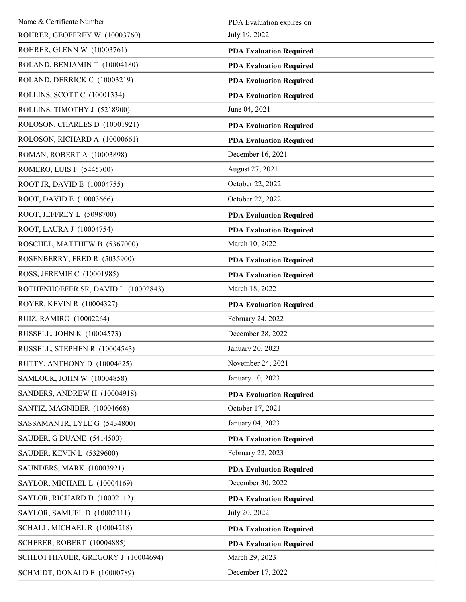| Name & Certificate Number           | PDA Evaluation expires on      |
|-------------------------------------|--------------------------------|
| ROHRER, GEOFFREY W (10003760)       | July 19, 2022                  |
| ROHRER, GLENN W (10003761)          | <b>PDA Evaluation Required</b> |
| ROLAND, BENJAMIN T (10004180)       | <b>PDA Evaluation Required</b> |
| ROLAND, DERRICK C (10003219)        | <b>PDA Evaluation Required</b> |
| ROLLINS, SCOTT C (10001334)         | <b>PDA Evaluation Required</b> |
| ROLLINS, TIMOTHY J (5218900)        | June 04, 2021                  |
| ROLOSON, CHARLES D (10001921)       | <b>PDA Evaluation Required</b> |
| ROLOSON, RICHARD A (10000661)       | <b>PDA Evaluation Required</b> |
| ROMAN, ROBERT A (10003898)          | December 16, 2021              |
| ROMERO, LUIS F (5445700)            | August 27, 2021                |
| ROOT JR, DAVID E (10004755)         | October 22, 2022               |
| ROOT, DAVID E (10003666)            | October 22, 2022               |
| ROOT, JEFFREY L (5098700)           | <b>PDA Evaluation Required</b> |
| ROOT, LAURA J (10004754)            | <b>PDA Evaluation Required</b> |
| ROSCHEL, MATTHEW B (5367000)        | March 10, 2022                 |
| ROSENBERRY, FRED R (5035900)        | <b>PDA Evaluation Required</b> |
| ROSS, JEREMIE C (10001985)          | <b>PDA Evaluation Required</b> |
| ROTHENHOEFER SR, DAVID L (10002843) | March 18, 2022                 |
|                                     |                                |
| ROYER, KEVIN R (10004327)           | <b>PDA Evaluation Required</b> |
| RUIZ, RAMIRO (10002264)             | February 24, 2022              |
| RUSSELL, JOHN K (10004573)          | December 28, 2022              |
| RUSSELL, STEPHEN R (10004543)       | January 20, 2023               |
| RUTTY, ANTHONY D (10004625)         | November 24, 2021              |
| SAMLOCK, JOHN W (10004858)          | January 10, 2023               |
| SANDERS, ANDREW H (10004918)        | <b>PDA Evaluation Required</b> |
| SANTIZ, MAGNIBER (10004668)         | October 17, 2021               |
| SASSAMAN JR, LYLE G (5434800)       | January 04, 2023               |
| SAUDER, G DUANE (5414500)           | <b>PDA Evaluation Required</b> |
| SAUDER, KEVIN L (5329600)           | February 22, 2023              |
| SAUNDERS, MARK (10003921)           | <b>PDA Evaluation Required</b> |
| SAYLOR, MICHAEL L (10004169)        | December 30, 2022              |
| SAYLOR, RICHARD D (10002112)        | <b>PDA Evaluation Required</b> |
| SAYLOR, SAMUEL D (10002111)         | July 20, 2022                  |
| SCHALL, MICHAEL R (10004218)        | <b>PDA Evaluation Required</b> |
| <b>SCHERER, ROBERT (10004885)</b>   | <b>PDA Evaluation Required</b> |
| SCHLOTTHAUER, GREGORY J (10004694)  | March 29, 2023                 |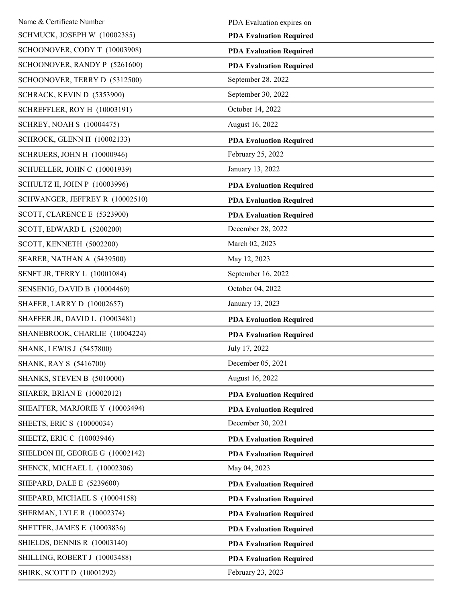| Name & Certificate Number            | PDA Evaluation expires on      |
|--------------------------------------|--------------------------------|
| SCHMUCK, JOSEPH W (10002385)         | <b>PDA Evaluation Required</b> |
| SCHOONOVER, CODY T (10003908)        | <b>PDA Evaluation Required</b> |
| SCHOONOVER, RANDY P (5261600)        | <b>PDA Evaluation Required</b> |
| SCHOONOVER, TERRY D (5312500)        | September 28, 2022             |
| SCHRACK, KEVIN D (5353900)           | September 30, 2022             |
| <b>SCHREFFLER, ROY H (10003191)</b>  | October 14, 2022               |
| <b>SCHREY, NOAH S (10004475)</b>     | August 16, 2022                |
| SCHROCK, GLENN H (10002133)          | <b>PDA Evaluation Required</b> |
| SCHRUERS, JOHN H (10000946)          | February 25, 2022              |
| SCHUELLER, JOHN C (10001939)         | January 13, 2022               |
| <b>SCHULTZ II, JOHN P (10003996)</b> | <b>PDA Evaluation Required</b> |
| SCHWANGER, JEFFREY R (10002510)      | <b>PDA Evaluation Required</b> |
| SCOTT, CLARENCE E (5323900)          | <b>PDA Evaluation Required</b> |
| SCOTT, EDWARD L (5200200)            | December 28, 2022              |
| SCOTT, KENNETH (5002200)             | March 02, 2023                 |
| SEARER, NATHAN A (5439500)           | May 12, 2023                   |
| SENFT JR, TERRY L (10001084)         | September 16, 2022             |
| SENSENIG, DAVID B (10004469)         | October 04, 2022               |
| SHAFER, LARRY D (10002657)           | January 13, 2023               |
| SHAFFER JR, DAVID L (10003481)       | <b>PDA Evaluation Required</b> |
| SHANEBROOK, CHARLIE (10004224)       | <b>PDA Evaluation Required</b> |
| <b>SHANK, LEWIS J (5457800)</b>      | July 17, 2022                  |
| <b>SHANK, RAY S (5416700)</b>        | December 05, 2021              |
| SHANKS, STEVEN B (5010000)           | August 16, 2022                |
| <b>SHARER, BRIAN E (10002012)</b>    | <b>PDA Evaluation Required</b> |
| SHEAFFER, MARJORIE Y (10003494)      | <b>PDA Evaluation Required</b> |
| SHEETS, ERIC S (10000034)            | December 30, 2021              |
| SHEETZ, ERIC C (10003946)            | <b>PDA Evaluation Required</b> |
| SHELDON III, GEORGE G (10002142)     | <b>PDA Evaluation Required</b> |
| SHENCK, MICHAEL L (10002306)         | May 04, 2023                   |
| SHEPARD, DALE E (5239600)            | <b>PDA Evaluation Required</b> |
| SHEPARD, MICHAEL S (10004158)        | <b>PDA Evaluation Required</b> |
| SHERMAN, LYLE R (10002374)           | <b>PDA Evaluation Required</b> |
| SHETTER, JAMES E (10003836)          | <b>PDA Evaluation Required</b> |
| SHIELDS, DENNIS R (10003140)         | <b>PDA Evaluation Required</b> |
| SHILLING, ROBERT J (10003488)        | <b>PDA Evaluation Required</b> |
| SHIRK, SCOTT D (10001292)            | February 23, 2023              |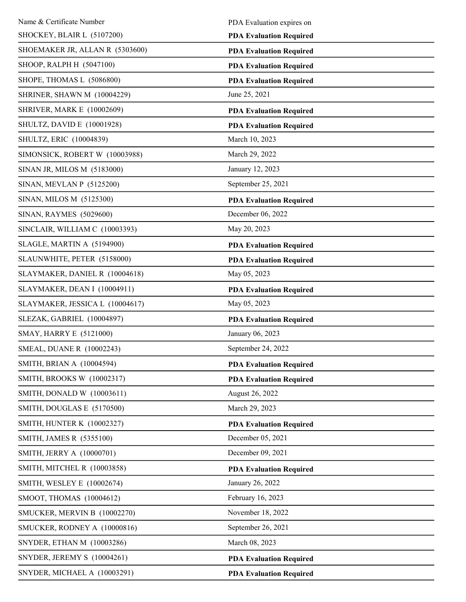| Name & Certificate Number         | PDA Evaluation expires on      |  |
|-----------------------------------|--------------------------------|--|
| SHOCKEY, BLAIR L (5107200)        | <b>PDA Evaluation Required</b> |  |
| SHOEMAKER JR, ALLAN R (5303600)   | <b>PDA Evaluation Required</b> |  |
| SHOOP, RALPH H (5047100)          | <b>PDA Evaluation Required</b> |  |
| SHOPE, THOMAS L (5086800)         | <b>PDA Evaluation Required</b> |  |
| SHRINER, SHAWN M (10004229)       | June 25, 2021                  |  |
| <b>SHRIVER, MARK E (10002609)</b> | <b>PDA Evaluation Required</b> |  |
| SHULTZ, DAVID E (10001928)        | <b>PDA Evaluation Required</b> |  |
| SHULTZ, ERIC (10004839)           | March 10, 2023                 |  |
| SIMONSICK, ROBERT W (10003988)    | March 29, 2022                 |  |
| SINAN JR, MILOS M (5183000)       | January 12, 2023               |  |
| SINAN, MEVLAN P (5125200)         | September 25, 2021             |  |
| SINAN, MILOS M (5125300)          | <b>PDA Evaluation Required</b> |  |
| SINAN, RAYMES (5029600)           | December 06, 2022              |  |
| SINCLAIR, WILLIAM C (10003393)    | May 20, 2023                   |  |
| SLAGLE, MARTIN A (5194900)        | <b>PDA Evaluation Required</b> |  |
| SLAUNWHITE, PETER (5158000)       | <b>PDA Evaluation Required</b> |  |
| SLAYMAKER, DANIEL R (10004618)    | May 05, 2023                   |  |
| SLAYMAKER, DEAN I (10004911)      | <b>PDA Evaluation Required</b> |  |
| SLAYMAKER, JESSICA L (10004617)   | May 05, 2023                   |  |
| SLEZAK, GABRIEL (10004897)        | <b>PDA Evaluation Required</b> |  |
| SMAY, HARRY E (5121000)           | January 06, 2023               |  |
| SMEAL, DUANE R (10002243)         | September 24, 2022             |  |
| SMITH, BRIAN A (10004594)         | <b>PDA Evaluation Required</b> |  |
| SMITH, BROOKS W (10002317)        | <b>PDA Evaluation Required</b> |  |
| SMITH, DONALD W (10003611)        | August 26, 2022                |  |
| SMITH, DOUGLAS E (5170500)        | March 29, 2023                 |  |
| SMITH, HUNTER K (10002327)        | <b>PDA Evaluation Required</b> |  |
| SMITH, JAMES R (5355100)          | December 05, 2021              |  |
| SMITH, JERRY A (10000701)         | December 09, 2021              |  |
| SMITH, MITCHEL R (10003858)       | <b>PDA Evaluation Required</b> |  |
| SMITH, WESLEY E (10002674)        | January 26, 2022               |  |
| SMOOT, THOMAS (10004612)          | February 16, 2023              |  |
| SMUCKER, MERVIN B (10002270)      | November 18, 2022              |  |
| SMUCKER, RODNEY A (10000816)      | September 26, 2021             |  |
| SNYDER, ETHAN M (10003286)        | March 08, 2023                 |  |
| SNYDER, JEREMY S (10004261)       | <b>PDA Evaluation Required</b> |  |
| SNYDER, MICHAEL A (10003291)      | <b>PDA Evaluation Required</b> |  |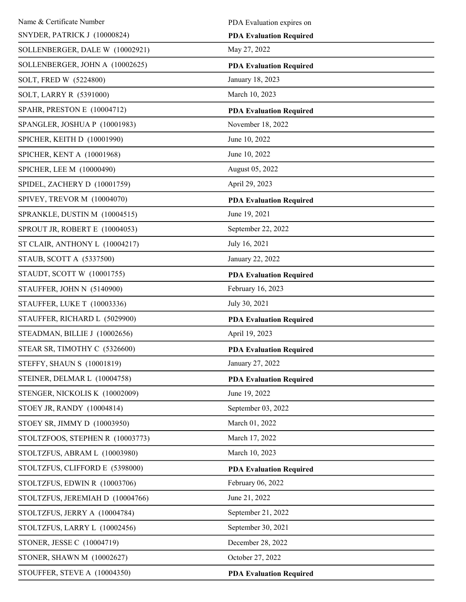| Name & Certificate Number        | PDA Evaluation expires on      |
|----------------------------------|--------------------------------|
| SNYDER, PATRICK J (10000824)     | <b>PDA Evaluation Required</b> |
| SOLLENBERGER, DALE W (10002921)  | May 27, 2022                   |
| SOLLENBERGER, JOHN A (10002625)  | <b>PDA Evaluation Required</b> |
| SOLT, FRED W (5224800)           | January 18, 2023               |
| SOLT, LARRY R (5391000)          | March 10, 2023                 |
| SPAHR, PRESTON E (10004712)      | <b>PDA Evaluation Required</b> |
| SPANGLER, JOSHUA P (10001983)    | November 18, 2022              |
| SPICHER, KEITH D (10001990)      | June 10, 2022                  |
| SPICHER, KENT A (10001968)       | June 10, 2022                  |
| SPICHER, LEE M (10000490)        | August 05, 2022                |
| SPIDEL, ZACHERY D (10001759)     | April 29, 2023                 |
| SPIVEY, TREVOR M (10004070)      | <b>PDA Evaluation Required</b> |
| SPRANKLE, DUSTIN M (10004515)    | June 19, 2021                  |
| SPROUT JR, ROBERT E (10004053)   | September 22, 2022             |
| ST CLAIR, ANTHONY L (10004217)   | July 16, 2021                  |
| STAUB, SCOTT A (5337500)         | January 22, 2022               |
| STAUDT, SCOTT W (10001755)       | <b>PDA Evaluation Required</b> |
| STAUFFER, JOHN N (5140900)       | February 16, 2023              |
| STAUFFER, LUKE T (10003336)      | July 30, 2021                  |
| STAUFFER, RICHARD L (5029900)    | <b>PDA Evaluation Required</b> |
| STEADMAN, BILLIE J (10002656)    | April 19, 2023                 |
| STEAR SR, TIMOTHY C (5326600)    | <b>PDA Evaluation Required</b> |
| STEFFY, SHAUN S (10001819)       | January 27, 2022               |
| STEINER, DELMAR L (10004758)     | <b>PDA Evaluation Required</b> |
| STENGER, NICKOLIS K (10002009)   | June 19, 2022                  |
| STOEY JR, RANDY (10004814)       | September 03, 2022             |
| STOEY SR, JIMMY D (10003950)     | March 01, 2022                 |
| STOLTZFOOS, STEPHEN R (10003773) | March 17, 2022                 |
| STOLTZFUS, ABRAM L (10003980)    | March 10, 2023                 |
| STOLTZFUS, CLIFFORD E (5398000)  | <b>PDA Evaluation Required</b> |
| STOLTZFUS, EDWIN R (10003706)    | February 06, 2022              |
| STOLTZFUS, JEREMIAH D (10004766) | June 21, 2022                  |
| STOLTZFUS, JERRY A (10004784)    | September 21, 2022             |
| STOLTZFUS, LARRY L (10002456)    | September 30, 2021             |
| STONER, JESSE C (10004719)       | December 28, 2022              |
| STONER, SHAWN M (10002627)       | October 27, 2022               |
| STOUFFER, STEVE A (10004350)     | <b>PDA Evaluation Required</b> |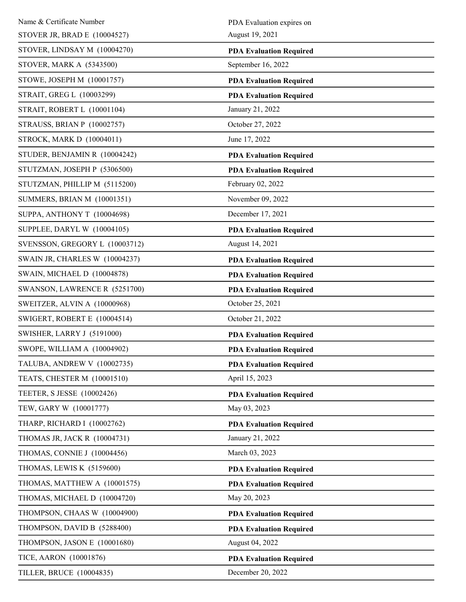| Name & Certificate Number          | PDA Evaluation expires on      |
|------------------------------------|--------------------------------|
| STOVER JR, BRAD E (10004527)       | August 19, 2021                |
| STOVER, LINDSAY M (10004270)       | <b>PDA Evaluation Required</b> |
| STOVER, MARK A (5343500)           | September 16, 2022             |
| STOWE, JOSEPH M (10001757)         | <b>PDA Evaluation Required</b> |
| STRAIT, GREG L (10003299)          | <b>PDA Evaluation Required</b> |
| STRAIT, ROBERT L (10001104)        | January 21, 2022               |
| <b>STRAUSS, BRIAN P (10002757)</b> | October 27, 2022               |
| STROCK, MARK D (10004011)          | June 17, 2022                  |
| STUDER, BENJAMIN R (10004242)      | <b>PDA Evaluation Required</b> |
| STUTZMAN, JOSEPH P (5306500)       | <b>PDA Evaluation Required</b> |
| STUTZMAN, PHILLIP M (5115200)      | February 02, 2022              |
| <b>SUMMERS, BRIAN M (10001351)</b> | November 09, 2022              |
| SUPPA, ANTHONY T (10004698)        | December 17, 2021              |
| SUPPLEE, DARYL W (10004105)        | <b>PDA Evaluation Required</b> |
| SVENSSON, GREGORY L (10003712)     | August 14, 2021                |
| SWAIN JR, CHARLES W (10004237)     | <b>PDA Evaluation Required</b> |
| <b>SWAIN, MICHAEL D (10004878)</b> | <b>PDA Evaluation Required</b> |
| SWANSON, LAWRENCE R (5251700)      | <b>PDA Evaluation Required</b> |
| SWEITZER, ALVIN A (10000968)       | October 25, 2021               |
| SWIGERT, ROBERT E (10004514)       | October 21, 2022               |
| <b>SWISHER, LARRY J (5191000)</b>  | <b>PDA Evaluation Required</b> |
| SWOPE, WILLIAM A (10004902)        | <b>PDA Evaluation Required</b> |
| TALUBA, ANDREW V (10002735)        | <b>PDA Evaluation Required</b> |
| TEATS, CHESTER M (10001510)        | April 15, 2023                 |
| TEETER, S JESSE (10002426)         | <b>PDA Evaluation Required</b> |
| TEW, GARY W (10001777)             | May 03, 2023                   |
| THARP, RICHARD I (10002762)        | <b>PDA Evaluation Required</b> |
| THOMAS JR, JACK R (10004731)       | January 21, 2022               |
| THOMAS, CONNIE J (10004456)        | March 03, 2023                 |
| THOMAS, LEWIS K (5159600)          | <b>PDA Evaluation Required</b> |
| THOMAS, MATTHEW A (10001575)       | <b>PDA Evaluation Required</b> |
| THOMAS, MICHAEL D (10004720)       | May 20, 2023                   |
| THOMPSON, CHAAS W (10004900)       | <b>PDA Evaluation Required</b> |
| THOMPSON, DAVID B (5288400)        | <b>PDA Evaluation Required</b> |
| THOMPSON, JASON E (10001680)       | August 04, 2022                |
| TICE, AARON (10001876)             | <b>PDA Evaluation Required</b> |
| TILLER, BRUCE (10004835)           | December 20, 2022              |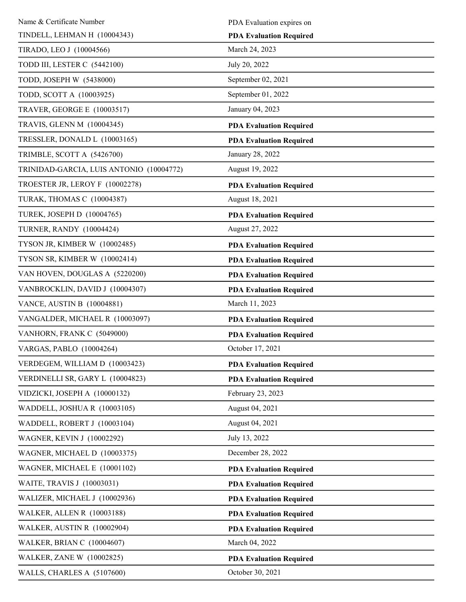| Name & Certificate Number                | PDA Evaluation expires on      |
|------------------------------------------|--------------------------------|
| TINDELL, LEHMAN H (10004343)             | <b>PDA Evaluation Required</b> |
| TIRADO, LEO J (10004566)                 | March 24, 2023                 |
| TODD III, LESTER C (5442100)             | July 20, 2022                  |
| TODD, JOSEPH W (5438000)                 | September 02, 2021             |
| TODD, SCOTT A (10003925)                 | September 01, 2022             |
| TRAVER, GEORGE E (10003517)              | January 04, 2023               |
| TRAVIS, GLENN M (10004345)               | <b>PDA Evaluation Required</b> |
| TRESSLER, DONALD L (10003165)            | <b>PDA Evaluation Required</b> |
| TRIMBLE, SCOTT A (5426700)               | January 28, 2022               |
| TRINIDAD-GARCIA, LUIS ANTONIO (10004772) | August 19, 2022                |
| TROESTER JR, LEROY F (10002278)          | <b>PDA Evaluation Required</b> |
| TURAK, THOMAS C (10004387)               | August 18, 2021                |
| TUREK, JOSEPH D (10004765)               | <b>PDA Evaluation Required</b> |
| <b>TURNER, RANDY (10004424)</b>          | August 27, 2022                |
| TYSON JR, KIMBER W (10002485)            | <b>PDA Evaluation Required</b> |
| TYSON SR, KIMBER W (10002414)            | <b>PDA Evaluation Required</b> |
| VAN HOVEN, DOUGLAS A (5220200)           | <b>PDA Evaluation Required</b> |
| VANBROCKLIN, DAVID J (10004307)          | <b>PDA Evaluation Required</b> |
| VANCE, AUSTIN B (10004881)               | March 11, 2023                 |
| VANGALDER, MICHAEL R (10003097)          | <b>PDA Evaluation Required</b> |
| VANHORN, FRANK C (5049000)               | <b>PDA Evaluation Required</b> |
| VARGAS, PABLO (10004264)                 | October 17, 2021               |
| VERDEGEM, WILLIAM D (10003423)           | <b>PDA Evaluation Required</b> |
| VERDINELLI SR, GARY L (10004823)         | <b>PDA Evaluation Required</b> |
| VIDZICKI, JOSEPH A (10000132)            | February 23, 2023              |
| WADDELL, JOSHUA R (10003105)             | August 04, 2021                |
| WADDELL, ROBERT J (10003104)             | August 04, 2021                |
| <b>WAGNER, KEVIN J (10002292)</b>        | July 13, 2022                  |
| WAGNER, MICHAEL D (10003375)             | December 28, 2022              |
| WAGNER, MICHAEL E (10001102)             | <b>PDA Evaluation Required</b> |
| WAITE, TRAVIS J (10003031)               | <b>PDA Evaluation Required</b> |
| WALIZER, MICHAEL J (10002936)            | <b>PDA Evaluation Required</b> |
| WALKER, ALLEN R (10003188)               | <b>PDA Evaluation Required</b> |
| WALKER, AUSTIN R (10002904)              | <b>PDA Evaluation Required</b> |
| WALKER, BRIAN C (10004607)               | March 04, 2022                 |
| WALKER, ZANE W (10002825)                | <b>PDA Evaluation Required</b> |
| WALLS, CHARLES A (5107600)               | October 30, 2021               |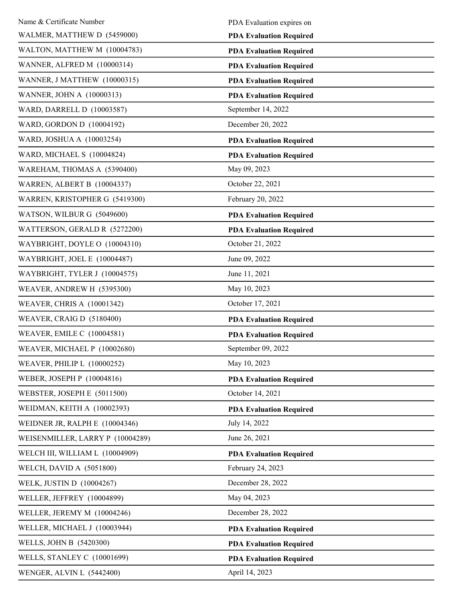| Name & Certificate Number        | PDA Evaluation expires on      |
|----------------------------------|--------------------------------|
| WALMER, MATTHEW D (5459000)      | <b>PDA Evaluation Required</b> |
| WALTON, MATTHEW M (10004783)     | <b>PDA Evaluation Required</b> |
| WANNER, ALFRED M (10000314)      | <b>PDA Evaluation Required</b> |
| WANNER, J MATTHEW (10000315)     | <b>PDA Evaluation Required</b> |
| WANNER, JOHN A (10000313)        | <b>PDA Evaluation Required</b> |
| WARD, DARRELL D (10003587)       | September 14, 2022             |
| WARD, GORDON D (10004192)        | December 20, 2022              |
| WARD, JOSHUA A (10003254)        | <b>PDA Evaluation Required</b> |
| WARD, MICHAEL S (10004824)       | <b>PDA Evaluation Required</b> |
| WAREHAM, THOMAS A (5390400)      | May 09, 2023                   |
| WARREN, ALBERT B (10004337)      | October 22, 2021               |
| WARREN, KRISTOPHER G (5419300)   | February 20, 2022              |
| WATSON, WILBUR G (5049600)       | <b>PDA Evaluation Required</b> |
| WATTERSON, GERALD R (5272200)    | <b>PDA Evaluation Required</b> |
| WAYBRIGHT, DOYLE O (10004310)    | October 21, 2022               |
| WAYBRIGHT, JOEL E (10004487)     | June 09, 2022                  |
| WAYBRIGHT, TYLER J (10004575)    | June 11, 2021                  |
| WEAVER, ANDREW H (5395300)       | May 10, 2023                   |
| WEAVER, CHRIS A (10001342)       | October 17, 2021               |
| WEAVER, CRAIG D (5180400)        | <b>PDA Evaluation Required</b> |
| WEAVER, EMILE C (10004581)       | <b>PDA Evaluation Required</b> |
| WEAVER, MICHAEL P (10002680)     | September 09, 2022             |
| WEAVER, PHILIP L (10000252)      | May 10, 2023                   |
| WEBER, JOSEPH P (10004816)       | <b>PDA Evaluation Required</b> |
| WEBSTER, JOSEPH E (5011500)      | October 14, 2021               |
| WEIDMAN, KEITH A (10002393)      | <b>PDA Evaluation Required</b> |
| WEIDNER JR, RALPH E (10004346)   | July 14, 2022                  |
| WEISENMILLER, LARRY P (10004289) | June 26, 2021                  |
| WELCH III, WILLIAM L (10004909)  | <b>PDA Evaluation Required</b> |
| WELCH, DAVID A (5051800)         | February 24, 2023              |
| WELK, JUSTIN D (10004267)        | December 28, 2022              |
| WELLER, JEFFREY (10004899)       | May 04, 2023                   |
| WELLER, JEREMY M (10004246)      | December 28, 2022              |
| WELLER, MICHAEL J (10003944)     | <b>PDA Evaluation Required</b> |
| WELLS, JOHN B (5420300)          | <b>PDA Evaluation Required</b> |
| WELLS, STANLEY C (10001699)      | <b>PDA Evaluation Required</b> |
| WENGER, ALVIN L (5442400)        | April 14, 2023                 |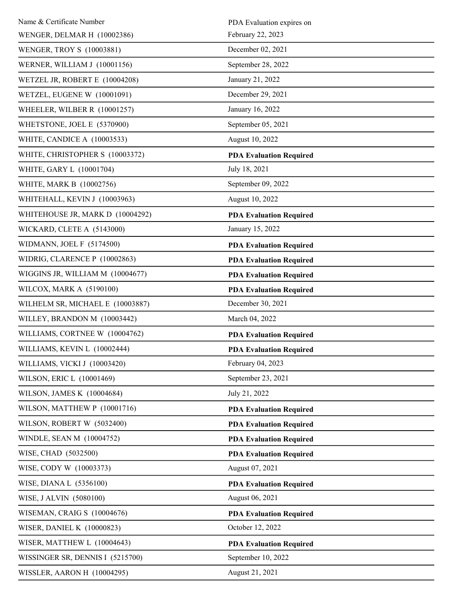| Name & Certificate Number        | PDA Evaluation expires on      |
|----------------------------------|--------------------------------|
| WENGER, DELMAR H (10002386)      | February 22, 2023              |
| WENGER, TROY S (10003881)        | December 02, 2021              |
| WERNER, WILLIAM J (10001156)     | September 28, 2022             |
| WETZEL JR, ROBERT E (10004208)   | January 21, 2022               |
| WETZEL, EUGENE W (10001091)      | December 29, 2021              |
| WHEELER, WILBER R (10001257)     | January 16, 2022               |
| WHETSTONE, JOEL E (5370900)      | September 05, 2021             |
| WHITE, CANDICE A (10003533)      | August 10, 2022                |
| WHITE, CHRISTOPHER S (10003372)  | <b>PDA Evaluation Required</b> |
| WHITE, GARY L (10001704)         | July 18, 2021                  |
| WHITE, MARK B (10002756)         | September 09, 2022             |
| WHITEHALL, KEVIN J (10003963)    | August 10, 2022                |
| WHITEHOUSE JR, MARK D (10004292) | <b>PDA Evaluation Required</b> |
| WICKARD, CLETE A (5143000)       | January 15, 2022               |
| WIDMANN, JOEL F (5174500)        | <b>PDA Evaluation Required</b> |
| WIDRIG, CLARENCE P (10002863)    | <b>PDA Evaluation Required</b> |
| WIGGINS JR, WILLIAM M (10004677) | <b>PDA Evaluation Required</b> |
| WILCOX, MARK A (5190100)         | <b>PDA Evaluation Required</b> |
| WILHELM SR, MICHAEL E (10003887) | December 30, 2021              |
| WILLEY, BRANDON M (10003442)     | March 04, 2022                 |
| WILLIAMS, CORTNEE W (10004762)   | <b>PDA Evaluation Required</b> |
| WILLIAMS, KEVIN L (10002444)     | <b>PDA Evaluation Required</b> |
| WILLIAMS, VICKI J (10003420)     | February 04, 2023              |
| WILSON, ERIC L (10001469)        | September 23, 2021             |
| WILSON, JAMES K (10004684)       | July 21, 2022                  |
| WILSON, MATTHEW P (10001716)     | <b>PDA Evaluation Required</b> |
| WILSON, ROBERT W (5032400)       | <b>PDA Evaluation Required</b> |
| WINDLE, SEAN M (10004752)        | <b>PDA Evaluation Required</b> |
| WISE, CHAD (5032500)             | <b>PDA Evaluation Required</b> |
| WISE, CODY W (10003373)          | August 07, 2021                |
| WISE, DIANA L (5356100)          | <b>PDA Evaluation Required</b> |
| WISE, J ALVIN (5080100)          | August 06, 2021                |
| WISEMAN, CRAIG S (10004676)      | <b>PDA Evaluation Required</b> |
| WISER, DANIEL K (10000823)       | October 12, 2022               |
| WISER, MATTHEW L (10004643)      | <b>PDA Evaluation Required</b> |
| WISSINGER SR, DENNIS I (5215700) | September 10, 2022             |
| WISSLER, AARON H (10004295)      | August 21, 2021                |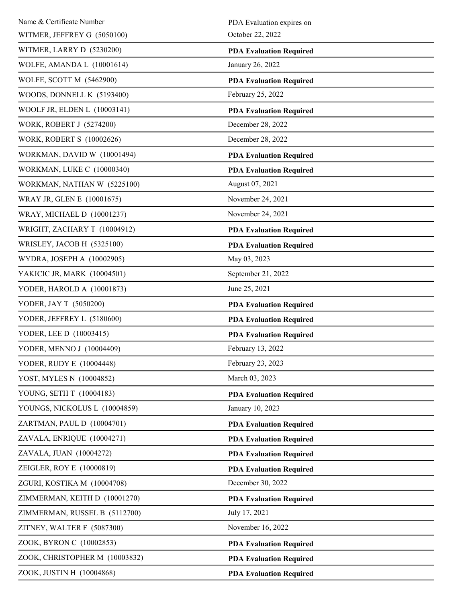| Name & Certificate Number       | PDA Evaluation expires on      |
|---------------------------------|--------------------------------|
| WITMER, JEFFREY G (5050100)     | October 22, 2022               |
| WITMER, LARRY D (5230200)       | <b>PDA Evaluation Required</b> |
| WOLFE, AMANDA L (10001614)      | January 26, 2022               |
| WOLFE, SCOTT M (5462900)        | <b>PDA Evaluation Required</b> |
| WOODS, DONNELL K (5193400)      | February 25, 2022              |
| WOOLF JR, ELDEN L (10003141)    | <b>PDA Evaluation Required</b> |
| <b>WORK, ROBERT J (5274200)</b> | December 28, 2022              |
| WORK, ROBERT S (10002626)       | December 28, 2022              |
| WORKMAN, DAVID W (10001494)     | <b>PDA Evaluation Required</b> |
| WORKMAN, LUKE C (10000340)      | <b>PDA Evaluation Required</b> |
| WORKMAN, NATHAN W (5225100)     | August 07, 2021                |
| WRAY JR, GLEN E (10001675)      | November 24, 2021              |
| WRAY, MICHAEL D (10001237)      | November 24, 2021              |
| WRIGHT, ZACHARY T (10004912)    | <b>PDA Evaluation Required</b> |
| WRISLEY, JACOB H (5325100)      | <b>PDA Evaluation Required</b> |
| WYDRA, JOSEPH A (10002905)      | May 03, 2023                   |
| YAKICIC JR, MARK (10004501)     | September 21, 2022             |
| YODER, HAROLD A (10001873)      | June 25, 2021                  |
|                                 |                                |
| YODER, JAY T (5050200)          | <b>PDA Evaluation Required</b> |
| YODER, JEFFREY L (5180600)      | <b>PDA Evaluation Required</b> |
| YODER, LEE D (10003415)         | <b>PDA Evaluation Required</b> |
| YODER, MENNO J (10004409)       | February 13, 2022              |
| YODER, RUDY E (10004448)        | February 23, 2023              |
| YOST, MYLES N (10004852)        | March 03, 2023                 |
| YOUNG, SETH T (10004183)        | <b>PDA Evaluation Required</b> |
| YOUNGS, NICKOLUS L (10004859)   | January 10, 2023               |
| ZARTMAN, PAUL D (10004701)      | <b>PDA Evaluation Required</b> |
| ZAVALA, ENRIQUE (10004271)      | <b>PDA Evaluation Required</b> |
| ZAVALA, JUAN (10004272)         | <b>PDA Evaluation Required</b> |
| ZEIGLER, ROY E (10000819)       | <b>PDA Evaluation Required</b> |
| ZGURI, KOSTIKA M (10004708)     | December 30, 2022              |
| ZIMMERMAN, KEITH D (10001270)   | <b>PDA Evaluation Required</b> |
| ZIMMERMAN, RUSSEL B (5112700)   | July 17, 2021                  |
| ZITNEY, WALTER F (5087300)      | November 16, 2022              |
| ZOOK, BYRON C (10002853)        | <b>PDA Evaluation Required</b> |
| ZOOK, CHRISTOPHER M (10003832)  | <b>PDA Evaluation Required</b> |